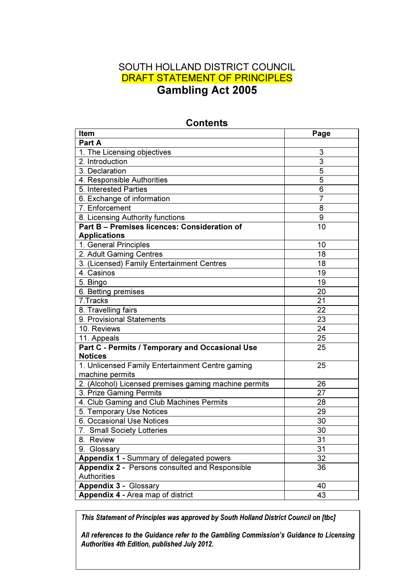## SOUTH HOLLAND DISTRICT COUNCIL DRAFT STATEMENT OF PRINCIPLES Gambling Act 2005

| Item                                                              | Page           |
|-------------------------------------------------------------------|----------------|
| Part A                                                            |                |
| 1. The Licensing objectives                                       | 3              |
| 2. Introduction                                                   | 3              |
| 3. Declaration                                                    | 5              |
| 4. Responsible Authorities                                        | 5              |
| 5. Interested Parties                                             | 6              |
| 6. Exchange of information                                        | $\overline{7}$ |
| 7. Enforcement                                                    | 8              |
| 8. Licensing Authority functions                                  | 9              |
| Part B - Premises licences: Consideration of                      | 10             |
| <b>Applications</b>                                               |                |
| 1. General Principles                                             | 10             |
| 2. Adult Gaming Centres                                           | 18             |
| 3. (Licensed) Family Entertainment Centres                        | 18             |
| 4. Casinos                                                        | 19             |
| 5. Bingo                                                          | 19             |
| 6. Betting premises                                               | 20             |
| 7. Tracks                                                         | 21             |
| 8. Travelling fairs                                               | 22             |
| 9. Provisional Statements                                         | 23             |
| 10. Reviews                                                       | 24             |
| 11. Appeals                                                       | 25             |
| Part C - Permits / Temporary and Occasional Use<br><b>Notices</b> | 25             |
| 1. Unlicensed Family Entertainment Centre gaming                  | 25             |
| machine permits                                                   |                |
| 2. (Alcohol) Licensed premises gaming machine permits             | 26             |
| 3. Prize Gaming Permits                                           | 27             |
| 4. Club Gaming and Club Machines Permits                          | 28             |
| 5. Temporary Use Notices                                          | 29             |
| 6. Occasional Use Notices                                         | 30             |
| 7. Small Society Lotteries                                        | 30             |
| 8. Review                                                         | 31             |
| 9. Glossary                                                       | 31             |
| Appendix 1 - Summary of delegated powers                          | 32             |
| Appendix 2 - Persons consulted and Responsible                    | 36             |
| <b>Authorities</b>                                                |                |
| <b>Appendix 3 - Glossary</b>                                      | 40             |
| Appendix 4 - Area map of district                                 | 43             |

### **Contents**

This Statement of Principles was approved by South Holland District Council on [tbc]

All references to the Guidance refer to the Gambling Commission's Guidance to Licensing Authorities 4th Edition, published July 2012.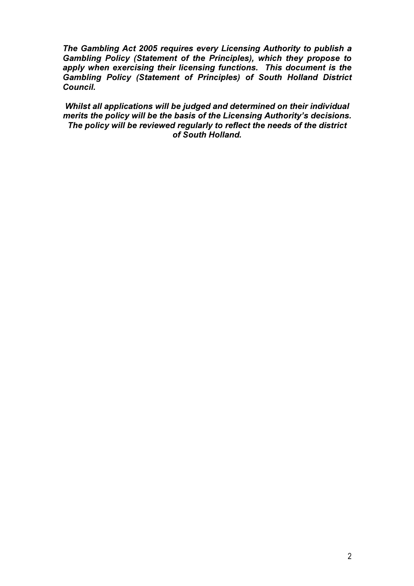*The Gambling Act 2005 requires every Licensing Authority to publish a Gambling Policy (Statement of the Principles), which they propose to apply when exercising their licensing functions. This document is the Gambling Policy (Statement of Principles) of South Holland District Council.* 

*Whilst all applications will be judged and determined on their individual merits the policy will be the basis of the Licensing Authority's decisions. The policy will be reviewed regularly to reflect the needs of the district of South Holland.*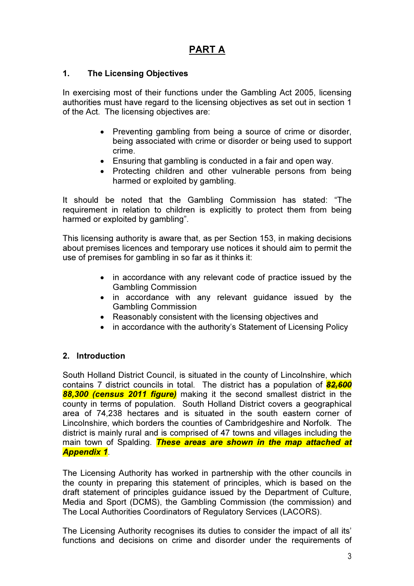## PART A

## 1. The Licensing Objectives

In exercising most of their functions under the Gambling Act 2005, licensing authorities must have regard to the licensing objectives as set out in section 1 of the Act. The licensing objectives are:

- Preventing gambling from being a source of crime or disorder, being associated with crime or disorder or being used to support crime.
- Ensuring that gambling is conducted in a fair and open way.
- Protecting children and other vulnerable persons from being harmed or exploited by gambling.

It should be noted that the Gambling Commission has stated: "The requirement in relation to children is explicitly to protect them from being harmed or exploited by gambling".

This licensing authority is aware that, as per Section 153, in making decisions about premises licences and temporary use notices it should aim to permit the use of premises for gambling in so far as it thinks it:

- in accordance with any relevant code of practice issued by the Gambling Commission
- in accordance with any relevant guidance issued by the Gambling Commission
- Reasonably consistent with the licensing objectives and
- in accordance with the authority's Statement of Licensing Policy

#### 2. Introduction

South Holland District Council, is situated in the county of Lincolnshire, which contains 7 district councils in total. The district has a population of *82,600 88,300 (census 2011 figure)* making it the second smallest district in the county in terms of population. South Holland District covers a geographical area of 74,238 hectares and is situated in the south eastern corner of Lincolnshire, which borders the counties of Cambridgeshire and Norfolk. The district is mainly rural and is comprised of 47 towns and villages including the main town of Spalding. *These areas are shown in the map attached at Appendix 1*.

The Licensing Authority has worked in partnership with the other councils in the county in preparing this statement of principles, which is based on the draft statement of principles guidance issued by the Department of Culture, Media and Sport (DCMS), the Gambling Commission (the commission) and The Local Authorities Coordinators of Regulatory Services (LACORS).

The Licensing Authority recognises its duties to consider the impact of all its' functions and decisions on crime and disorder under the requirements of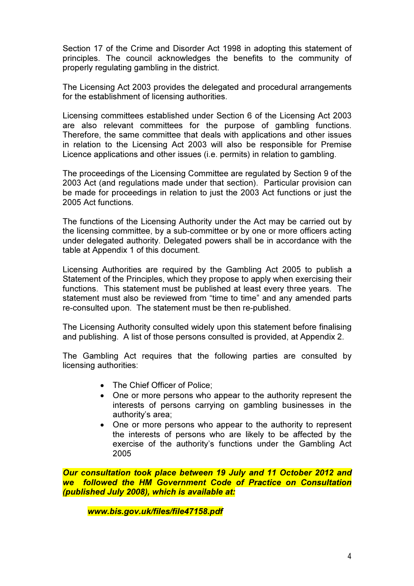Section 17 of the Crime and Disorder Act 1998 in adopting this statement of principles. The council acknowledges the benefits to the community of properly regulating gambling in the district.

The Licensing Act 2003 provides the delegated and procedural arrangements for the establishment of licensing authorities.

Licensing committees established under Section 6 of the Licensing Act 2003 are also relevant committees for the purpose of gambling functions. Therefore, the same committee that deals with applications and other issues in relation to the Licensing Act 2003 will also be responsible for Premise Licence applications and other issues (i.e. permits) in relation to gambling.

The proceedings of the Licensing Committee are regulated by Section 9 of the 2003 Act (and regulations made under that section). Particular provision can be made for proceedings in relation to just the 2003 Act functions or just the 2005 Act functions.

The functions of the Licensing Authority under the Act may be carried out by the licensing committee, by a sub-committee or by one or more officers acting under delegated authority. Delegated powers shall be in accordance with the table at Appendix 1 of this document.

Licensing Authorities are required by the Gambling Act 2005 to publish a Statement of the Principles, which they propose to apply when exercising their functions. This statement must be published at least every three years. The statement must also be reviewed from "time to time" and any amended parts re-consulted upon. The statement must be then re-published.

The Licensing Authority consulted widely upon this statement before finalising and publishing. A list of those persons consulted is provided, at Appendix 2.

The Gambling Act requires that the following parties are consulted by licensing authorities:

- The Chief Officer of Police:
- One or more persons who appear to the authority represent the interests of persons carrying on gambling businesses in the authority's area;
- One or more persons who appear to the authority to represent the interests of persons who are likely to be affected by the exercise of the authority's functions under the Gambling Act 2005

*Our consultation took place between 19 July and 11 October 2012 and we followed the HM Government Code of Practice on Consultation (published July 2008), which is available at:* 

*www.bis.gov.uk/files/file47158.pdf*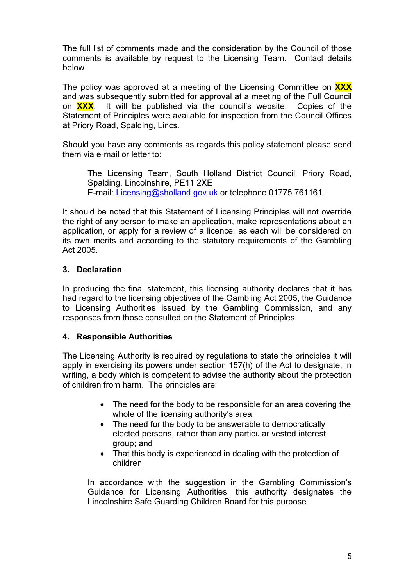The full list of comments made and the consideration by the Council of those comments is available by request to the Licensing Team. Contact details below.

The policy was approved at a meeting of the Licensing Committee on **XXX** and was subsequently submitted for approval at a meeting of the Full Council on **XXX**. It will be published via the council's website. Copies of the Statement of Principles were available for inspection from the Council Offices at Priory Road, Spalding, Lincs.

Should you have any comments as regards this policy statement please send them via e-mail or letter to:

The Licensing Team, South Holland District Council, Priory Road, Spalding, Lincolnshire, PE11 2XE E-mail: Licensing@sholland.gov.uk or telephone 01775 761161.

It should be noted that this Statement of Licensing Principles will not override the right of any person to make an application, make representations about an application, or apply for a review of a licence, as each will be considered on its own merits and according to the statutory requirements of the Gambling Act 2005.

## 3. Declaration

In producing the final statement, this licensing authority declares that it has had regard to the licensing objectives of the Gambling Act 2005, the Guidance to Licensing Authorities issued by the Gambling Commission, and any responses from those consulted on the Statement of Principles.

#### 4. Responsible Authorities

The Licensing Authority is required by regulations to state the principles it will apply in exercising its powers under section 157(h) of the Act to designate, in writing, a body which is competent to advise the authority about the protection of children from harm. The principles are:

- The need for the body to be responsible for an area covering the whole of the licensing authority's area;
- The need for the body to be answerable to democratically elected persons, rather than any particular vested interest group; and
- That this body is experienced in dealing with the protection of children

In accordance with the suggestion in the Gambling Commission's Guidance for Licensing Authorities, this authority designates the Lincolnshire Safe Guarding Children Board for this purpose.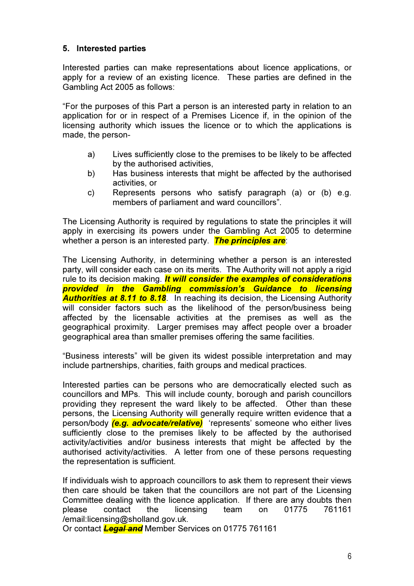### 5. Interested parties

Interested parties can make representations about licence applications, or apply for a review of an existing licence. These parties are defined in the Gambling Act 2005 as follows:

"For the purposes of this Part a person is an interested party in relation to an application for or in respect of a Premises Licence if, in the opinion of the licensing authority which issues the licence or to which the applications is made, the person-

- a) Lives sufficiently close to the premises to be likely to be affected by the authorised activities,
- b) Has business interests that might be affected by the authorised activities, or
- c) Represents persons who satisfy paragraph (a) or (b) e.g. members of parliament and ward councillors".

The Licensing Authority is required by regulations to state the principles it will apply in exercising its powers under the Gambling Act 2005 to determine whether a person is an interested party. *The principles are*:

The Licensing Authority, in determining whether a person is an interested party, will consider each case on its merits. The Authority will not apply a rigid rule to its decision making. *It will consider the examples of considerations provided in the Gambling commission's Guidance to licensing*  **Authorities at 8.11 to 8.18**. In reaching its decision, the Licensing Authority will consider factors such as the likelihood of the person/business being affected by the licensable activities at the premises as well as the geographical proximity. Larger premises may affect people over a broader geographical area than smaller premises offering the same facilities.

"Business interests" will be given its widest possible interpretation and may include partnerships, charities, faith groups and medical practices.

Interested parties can be persons who are democratically elected such as councillors and MPs. This will include county, borough and parish councillors providing they represent the ward likely to be affected. Other than these persons, the Licensing Authority will generally require written evidence that a person/body *(e.g. advocate/relative)* 'represents' someone who either lives sufficiently close to the premises likely to be affected by the authorised activity/activities and/or business interests that might be affected by the authorised activity/activities. A letter from one of these persons requesting the representation is sufficient.

If individuals wish to approach councillors to ask them to represent their views then care should be taken that the councillors are not part of the Licensing Committee dealing with the licence application. If there are any doubts then please contact the licensing team on 01775 761161 /email:licensing@sholland.gov.uk.

Or contact *Legal and* Member Services on 01775 761161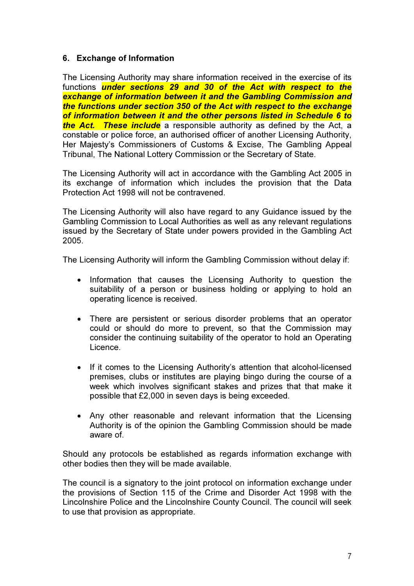#### 6. Exchange of Information

The Licensing Authority may share information received in the exercise of its functions *under sections 29 and 30 of the Act with respect to the exchange of information between it and the Gambling Commission and the functions under section 350 of the Act with respect to the exchange of information between it and the other persons listed in Schedule 6 to the Act. These include* a responsible authority as defined by the Act, a constable or police force, an authorised officer of another Licensing Authority, Her Majesty's Commissioners of Customs & Excise, The Gambling Appeal Tribunal, The National Lottery Commission or the Secretary of State.

The Licensing Authority will act in accordance with the Gambling Act 2005 in its exchange of information which includes the provision that the Data Protection Act 1998 will not be contravened.

The Licensing Authority will also have regard to any Guidance issued by the Gambling Commission to Local Authorities as well as any relevant regulations issued by the Secretary of State under powers provided in the Gambling Act 2005.

The Licensing Authority will inform the Gambling Commission without delay if:

- Information that causes the Licensing Authority to question the suitability of a person or business holding or applying to hold an operating licence is received.
- There are persistent or serious disorder problems that an operator could or should do more to prevent, so that the Commission may consider the continuing suitability of the operator to hold an Operating Licence.
- If it comes to the Licensing Authority's attention that alcohol-licensed premises, clubs or institutes are playing bingo during the course of a week which involves significant stakes and prizes that that make it possible that £2,000 in seven days is being exceeded.
- Any other reasonable and relevant information that the Licensing Authority is of the opinion the Gambling Commission should be made aware of.

Should any protocols be established as regards information exchange with other bodies then they will be made available.

The council is a signatory to the joint protocol on information exchange under the provisions of Section 115 of the Crime and Disorder Act 1998 with the Lincolnshire Police and the Lincolnshire County Council. The council will seek to use that provision as appropriate.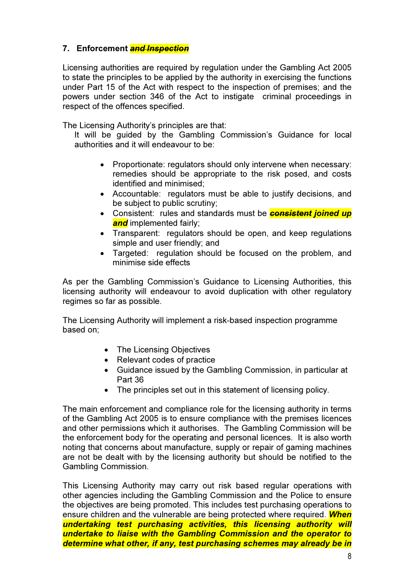## 7. Enforcement *and Inspection*

Licensing authorities are required by regulation under the Gambling Act 2005 to state the principles to be applied by the authority in exercising the functions under Part 15 of the Act with respect to the inspection of premises; and the powers under section 346 of the Act to instigate criminal proceedings in respect of the offences specified.

The Licensing Authority's principles are that:

It will be guided by the Gambling Commission's Guidance for local authorities and it will endeavour to be:

- Proportionate: regulators should only intervene when necessary: remedies should be appropriate to the risk posed, and costs identified and minimised;
- Accountable: regulators must be able to justify decisions, and be subject to public scrutiny;
- Consistent: rules and standards must be *consistent joined up and* implemented fairly;
- Transparent: regulators should be open, and keep regulations simple and user friendly; and
- Targeted: regulation should be focused on the problem, and minimise side effects

As per the Gambling Commission's Guidance to Licensing Authorities, this licensing authority will endeavour to avoid duplication with other regulatory regimes so far as possible.

The Licensing Authority will implement a risk-based inspection programme based on;

- The Licensing Objectives
- Relevant codes of practice
- Guidance issued by the Gambling Commission, in particular at Part 36
- The principles set out in this statement of licensing policy.

The main enforcement and compliance role for the licensing authority in terms of the Gambling Act 2005 is to ensure compliance with the premises licences and other permissions which it authorises. The Gambling Commission will be the enforcement body for the operating and personal licences. It is also worth noting that concerns about manufacture, supply or repair of gaming machines are not be dealt with by the licensing authority but should be notified to the Gambling Commission.

This Licensing Authority may carry out risk based regular operations with other agencies including the Gambling Commission and the Police to ensure the objectives are being promoted. This includes test purchasing operations to ensure children and the vulnerable are being protected where required. *When undertaking test purchasing activities, this licensing authority will undertake to liaise with the Gambling Commission and the operator to determine what other, if any, test purchasing schemes may already be in*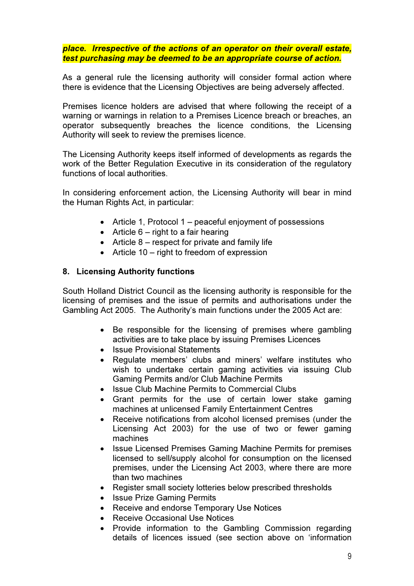*place. Irrespective of the actions of an operator on their overall estate, test purchasing may be deemed to be an appropriate course of action.*

As a general rule the licensing authority will consider formal action where there is evidence that the Licensing Objectives are being adversely affected.

Premises licence holders are advised that where following the receipt of a warning or warnings in relation to a Premises Licence breach or breaches, an operator subsequently breaches the licence conditions, the Licensing Authority will seek to review the premises licence.

The Licensing Authority keeps itself informed of developments as regards the work of the Better Regulation Executive in its consideration of the regulatory functions of local authorities.

In considering enforcement action, the Licensing Authority will bear in mind the Human Rights Act, in particular:

- Article 1, Protocol 1 peaceful enjoyment of possessions
- Article  $6 -$  right to a fair hearing
- Article  $8$  respect for private and family life
- Article 10 right to freedom of expression

#### 8. Licensing Authority functions

South Holland District Council as the licensing authority is responsible for the licensing of premises and the issue of permits and authorisations under the Gambling Act 2005. The Authority's main functions under the 2005 Act are:

- Be responsible for the licensing of premises where gambling activities are to take place by issuing Premises Licences
- Issue Provisional Statements
- Regulate members' clubs and miners' welfare institutes who wish to undertake certain gaming activities via issuing Club Gaming Permits and/or Club Machine Permits
- Issue Club Machine Permits to Commercial Clubs
- Grant permits for the use of certain lower stake gaming machines at unlicensed Family Entertainment Centres
- Receive notifications from alcohol licensed premises (under the Licensing Act 2003) for the use of two or fewer gaming machines
- Issue Licensed Premises Gaming Machine Permits for premises licensed to sell/supply alcohol for consumption on the licensed premises, under the Licensing Act 2003, where there are more than two machines
- Register small society lotteries below prescribed thresholds
- Issue Prize Gaming Permits
- Receive and endorse Temporary Use Notices
- Receive Occasional Use Notices
- Provide information to the Gambling Commission regarding details of licences issued (see section above on 'information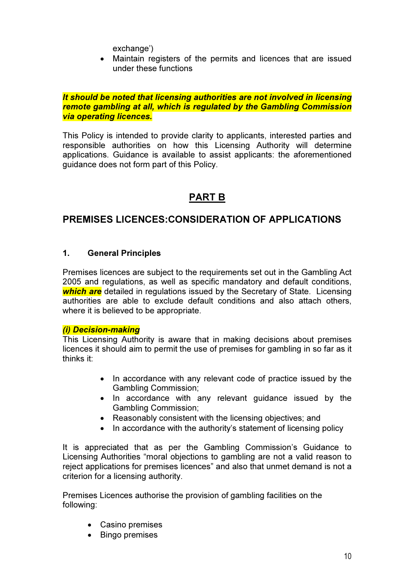exchange')

• Maintain registers of the permits and licences that are issued under these functions

#### *It should be noted that licensing authorities are not involved in licensing remote gambling at all, which is regulated by the Gambling Commission via operating licences.*

This Policy is intended to provide clarity to applicants, interested parties and responsible authorities on how this Licensing Authority will determine applications. Guidance is available to assist applicants: the aforementioned guidance does not form part of this Policy.

## PART B

## PREMISES LICENCES:CONSIDERATION OF APPLICATIONS

### 1. General Principles

Premises licences are subject to the requirements set out in the Gambling Act 2005 and regulations, as well as specific mandatory and default conditions, **which are** detailed in regulations issued by the Secretary of State. Licensing authorities are able to exclude default conditions and also attach others, where it is believed to be appropriate.

#### *(i) Decision-making*

This Licensing Authority is aware that in making decisions about premises licences it should aim to permit the use of premises for gambling in so far as it thinks it:

- In accordance with any relevant code of practice issued by the Gambling Commission;
- In accordance with any relevant guidance issued by the Gambling Commission;
- Reasonably consistent with the licensing objectives; and
- In accordance with the authority's statement of licensing policy

It is appreciated that as per the Gambling Commission's Guidance to Licensing Authorities "moral objections to gambling are not a valid reason to reject applications for premises licences" and also that unmet demand is not a criterion for a licensing authority.

Premises Licences authorise the provision of gambling facilities on the following:

- Casino premises
- Bingo premises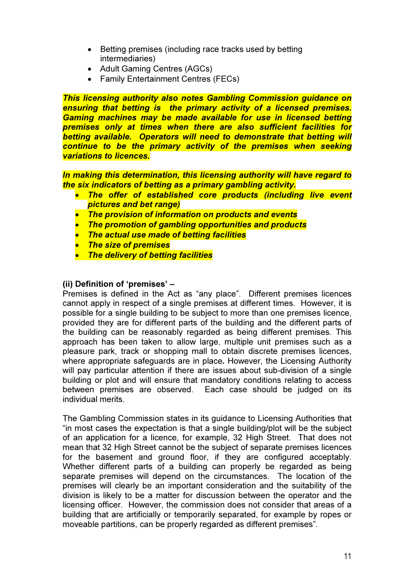- Betting premises (including race tracks used by betting intermediaries)
- Adult Gaming Centres (AGCs)
- Family Entertainment Centres (FECs)

*This licensing authority also notes Gambling Commission guidance on ensuring that betting is the primary activity of a licensed premises. Gaming machines may be made available for use in licensed betting premises only at times when there are also sufficient facilities for betting available. Operators will need to demonstrate that betting will continue to be the primary activity of the premises when seeking variations to licences.* 

*In making this determination, this licensing authority will have regard to the six indicators of betting as a primary gambling activity.* 

- *The offer of established core products (including live event pictures and bet range)*
- *The provision of information on products and events*
- *The promotion of gambling opportunities and products*
- *The actual use made of betting facilities*
- *The size of premises*
- *The delivery of betting facilities*

#### (ii) Definition of 'premises' –

Premises is defined in the Act as "any place". Different premises licences cannot apply in respect of a single premises at different times. However, it is possible for a single building to be subject to more than one premises licence, provided they are for different parts of the building and the different parts of the building can be reasonably regarded as being different premises. This approach has been taken to allow large, multiple unit premises such as a pleasure park, track or shopping mall to obtain discrete premises licences, where appropriate safeguards are in place*.* However, the Licensing Authority will pay particular attention if there are issues about sub-division of a single building or plot and will ensure that mandatory conditions relating to access between premises are observed. Each case should be judged on its individual merits.

The Gambling Commission states in its guidance to Licensing Authorities that "in most cases the expectation is that a single building/plot will be the subject of an application for a licence, for example, 32 High Street. That does not mean that 32 High Street cannot be the subject of separate premises licences for the basement and ground floor, if they are configured acceptably. Whether different parts of a building can properly be regarded as being separate premises will depend on the circumstances. The location of the premises will clearly be an important consideration and the suitability of the division is likely to be a matter for discussion between the operator and the licensing officer. However, the commission does not consider that areas of a building that are artificially or temporarily separated, for example by ropes or moveable partitions, can be properly regarded as different premises".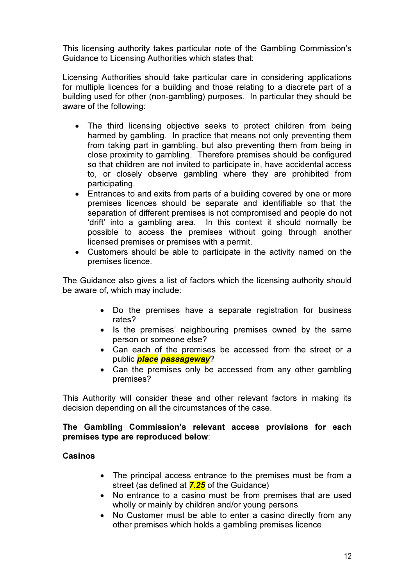This licensing authority takes particular note of the Gambling Commission's Guidance to Licensing Authorities which states that:

Licensing Authorities should take particular care in considering applications for multiple licences for a building and those relating to a discrete part of a building used for other (non-gambling) purposes. In particular they should be aware of the following:

- The third licensing objective seeks to protect children from being harmed by gambling. In practice that means not only preventing them from taking part in gambling, but also preventing them from being in close proximity to gambling. Therefore premises should be configured so that children are not invited to participate in, have accidental access to, or closely observe gambling where they are prohibited from participating.
- Entrances to and exits from parts of a building covered by one or more premises licences should be separate and identifiable so that the separation of different premises is not compromised and people do not 'drift' into a gambling area. In this context it should normally be possible to access the premises without going through another licensed premises or premises with a permit.
- Customers should be able to participate in the activity named on the premises licence.

The Guidance also gives a list of factors which the licensing authority should be aware of, which may include:

- Do the premises have a separate registration for business rates?
- Is the premises' neighbouring premises owned by the same person or someone else?
- Can each of the premises be accessed from the street or a public *place passageway*?
- Can the premises only be accessed from any other gambling premises?

This Authority will consider these and other relevant factors in making its decision depending on all the circumstances of the case.

#### The Gambling Commission's relevant access provisions for each premises type are reproduced below:

#### Casinos

- The principal access entrance to the premises must be from a street (as defined at *7.25* of the Guidance)
- No entrance to a casino must be from premises that are used wholly or mainly by children and/or young persons
- No Customer must be able to enter a casino directly from any other premises which holds a gambling premises licence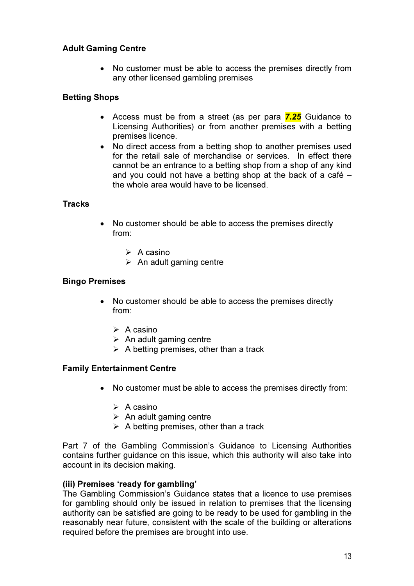## Adult Gaming Centre

• No customer must be able to access the premises directly from any other licensed gambling premises

### Betting Shops

- Access must be from a street (as per para *7.25* Guidance to Licensing Authorities) or from another premises with a betting premises licence.
- No direct access from a betting shop to another premises used for the retail sale of merchandise or services. In effect there cannot be an entrance to a betting shop from a shop of any kind and you could not have a betting shop at the back of a café – the whole area would have to be licensed.

### **Tracks**

- No customer should be able to access the premises directly from:
	- $\triangleright$  A casino
	- $\triangleright$  An adult gaming centre

#### Bingo Premises

- No customer should be able to access the premises directly from:
	- $\triangleright$  A casino
	- $\triangleright$  An adult gaming centre
	- $\triangleright$  A betting premises, other than a track

#### Family Entertainment Centre

- No customer must be able to access the premises directly from:
	- $\triangleright$  A casino
	- $\triangleright$  An adult gaming centre
	- $\triangleright$  A betting premises, other than a track

Part 7 of the Gambling Commission's Guidance to Licensing Authorities contains further guidance on this issue, which this authority will also take into account in its decision making.

#### (iii) Premises 'ready for gambling'

The Gambling Commission's Guidance states that a licence to use premises for gambling should only be issued in relation to premises that the licensing authority can be satisfied are going to be ready to be used for gambling in the reasonably near future, consistent with the scale of the building or alterations required before the premises are brought into use.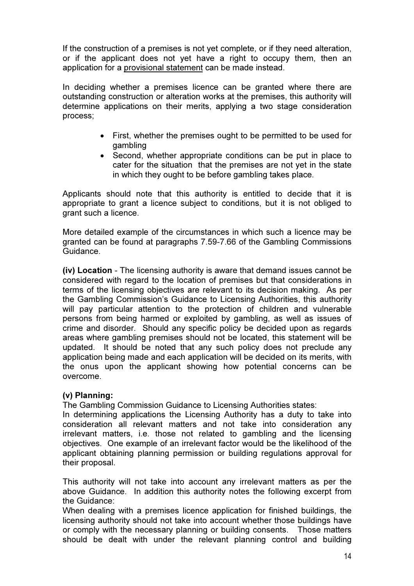If the construction of a premises is not yet complete, or if they need alteration, or if the applicant does not yet have a right to occupy them, then an application for a provisional statement can be made instead.

In deciding whether a premises licence can be granted where there are outstanding construction or alteration works at the premises, this authority will determine applications on their merits, applying a two stage consideration process;

- First, whether the premises ought to be permitted to be used for gambling
- Second, whether appropriate conditions can be put in place to cater for the situation that the premises are not yet in the state in which they ought to be before gambling takes place.

Applicants should note that this authority is entitled to decide that it is appropriate to grant a licence subject to conditions, but it is not obliged to grant such a licence.

More detailed example of the circumstances in which such a licence may be granted can be found at paragraphs 7.59-7.66 of the Gambling Commissions Guidance.

(iv) Location - The licensing authority is aware that demand issues cannot be considered with regard to the location of premises but that considerations in terms of the licensing objectives are relevant to its decision making. As per the Gambling Commission's Guidance to Licensing Authorities, this authority will pay particular attention to the protection of children and vulnerable persons from being harmed or exploited by gambling, as well as issues of crime and disorder. Should any specific policy be decided upon as regards areas where gambling premises should not be located, this statement will be updated. It should be noted that any such policy does not preclude any application being made and each application will be decided on its merits, with the onus upon the applicant showing how potential concerns can be overcome.

## (v) Planning:

The Gambling Commission Guidance to Licensing Authorities states:

In determining applications the Licensing Authority has a duty to take into consideration all relevant matters and not take into consideration any irrelevant matters, i.e. those not related to gambling and the licensing objectives. One example of an irrelevant factor would be the likelihood of the applicant obtaining planning permission or building regulations approval for their proposal.

This authority will not take into account any irrelevant matters as per the above Guidance. In addition this authority notes the following excerpt from the Guidance:

When dealing with a premises licence application for finished buildings, the licensing authority should not take into account whether those buildings have or comply with the necessary planning or building consents. Those matters should be dealt with under the relevant planning control and building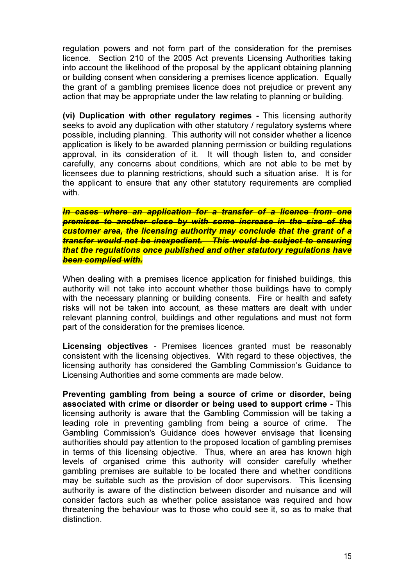regulation powers and not form part of the consideration for the premises licence. Section 210 of the 2005 Act prevents Licensing Authorities taking into account the likelihood of the proposal by the applicant obtaining planning or building consent when considering a premises licence application. Equally the grant of a gambling premises licence does not prejudice or prevent any action that may be appropriate under the law relating to planning or building.

(vi) Duplication with other regulatory regimes - This licensing authority seeks to avoid any duplication with other statutory / regulatory systems where possible, including planning. This authority will not consider whether a licence application is likely to be awarded planning permission or building regulations approval, in its consideration of it. It will though listen to, and consider carefully, any concerns about conditions, which are not able to be met by licensees due to planning restrictions, should such a situation arise. It is for the applicant to ensure that any other statutory requirements are complied with.

*In cases where an application for a transfer of a licence from one premises to another close by with some increase in the size of the customer area, the licensing authority may conclude that the grant of a transfer would not be inexpedient. This would be subject to ensuring that the regulations once published and other statutory regulations have been complied with.* 

When dealing with a premises licence application for finished buildings, this authority will not take into account whether those buildings have to comply with the necessary planning or building consents. Fire or health and safety risks will not be taken into account, as these matters are dealt with under relevant planning control, buildings and other regulations and must not form part of the consideration for the premises licence.

Licensing objectives - Premises licences granted must be reasonably consistent with the licensing objectives. With regard to these objectives, the licensing authority has considered the Gambling Commission's Guidance to Licensing Authorities and some comments are made below.

Preventing gambling from being a source of crime or disorder, being associated with crime or disorder or being used to support crime - This licensing authority is aware that the Gambling Commission will be taking a leading role in preventing gambling from being a source of crime. The Gambling Commission's Guidance does however envisage that licensing authorities should pay attention to the proposed location of gambling premises in terms of this licensing objective. Thus, where an area has known high levels of organised crime this authority will consider carefully whether gambling premises are suitable to be located there and whether conditions may be suitable such as the provision of door supervisors. This licensing authority is aware of the distinction between disorder and nuisance and will consider factors such as whether police assistance was required and how threatening the behaviour was to those who could see it, so as to make that distinction.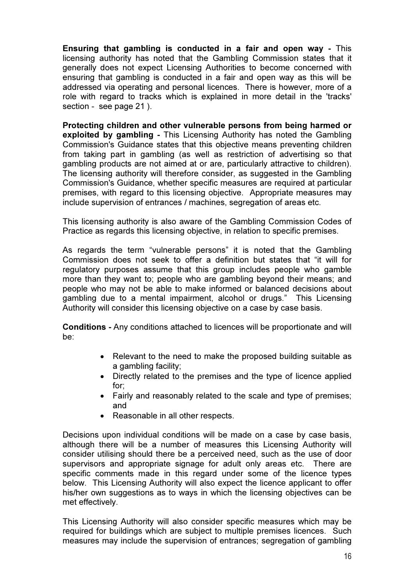Ensuring that gambling is conducted in a fair and open way - This licensing authority has noted that the Gambling Commission states that it generally does not expect Licensing Authorities to become concerned with ensuring that gambling is conducted in a fair and open way as this will be addressed via operating and personal licences. There is however, more of a role with regard to tracks which is explained in more detail in the 'tracks' section - see page 21 ).

Protecting children and other vulnerable persons from being harmed or exploited by gambling - This Licensing Authority has noted the Gambling Commission's Guidance states that this objective means preventing children from taking part in gambling (as well as restriction of advertising so that gambling products are not aimed at or are, particularly attractive to children). The licensing authority will therefore consider, as suggested in the Gambling Commission's Guidance, whether specific measures are required at particular premises, with regard to this licensing objective. Appropriate measures may include supervision of entrances / machines, segregation of areas etc.

This licensing authority is also aware of the Gambling Commission Codes of Practice as regards this licensing objective, in relation to specific premises.

As regards the term "vulnerable persons" it is noted that the Gambling Commission does not seek to offer a definition but states that "it will for regulatory purposes assume that this group includes people who gamble more than they want to; people who are gambling beyond their means; and people who may not be able to make informed or balanced decisions about gambling due to a mental impairment, alcohol or drugs." This Licensing Authority will consider this licensing objective on a case by case basis.

Conditions - Any conditions attached to licences will be proportionate and will be:

- Relevant to the need to make the proposed building suitable as a gambling facility;
- Directly related to the premises and the type of licence applied for;
- Fairly and reasonably related to the scale and type of premises; and
- Reasonable in all other respects.

Decisions upon individual conditions will be made on a case by case basis, although there will be a number of measures this Licensing Authority will consider utilising should there be a perceived need, such as the use of door supervisors and appropriate signage for adult only areas etc. There are specific comments made in this regard under some of the licence types below. This Licensing Authority will also expect the licence applicant to offer his/her own suggestions as to ways in which the licensing objectives can be met effectively.

This Licensing Authority will also consider specific measures which may be required for buildings which are subject to multiple premises licences. Such measures may include the supervision of entrances; segregation of gambling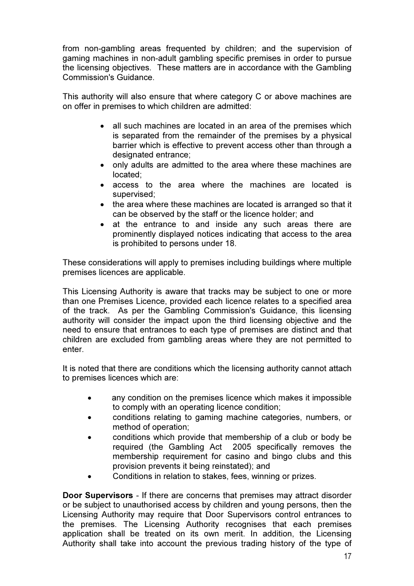from non-gambling areas frequented by children; and the supervision of gaming machines in non-adult gambling specific premises in order to pursue the licensing objectives. These matters are in accordance with the Gambling Commission's Guidance.

This authority will also ensure that where category C or above machines are on offer in premises to which children are admitted:

- all such machines are located in an area of the premises which is separated from the remainder of the premises by a physical barrier which is effective to prevent access other than through a designated entrance;
- only adults are admitted to the area where these machines are located;
- access to the area where the machines are located is supervised;
- the area where these machines are located is arranged so that it can be observed by the staff or the licence holder; and
- at the entrance to and inside any such areas there are prominently displayed notices indicating that access to the area is prohibited to persons under 18.

These considerations will apply to premises including buildings where multiple premises licences are applicable.

This Licensing Authority is aware that tracks may be subject to one or more than one Premises Licence, provided each licence relates to a specified area of the track. As per the Gambling Commission's Guidance, this licensing authority will consider the impact upon the third licensing objective and the need to ensure that entrances to each type of premises are distinct and that children are excluded from gambling areas where they are not permitted to enter.

It is noted that there are conditions which the licensing authority cannot attach to premises licences which are:

- any condition on the premises licence which makes it impossible to comply with an operating licence condition;
- conditions relating to gaming machine categories, numbers, or method of operation;
- conditions which provide that membership of a club or body be required (the Gambling Act 2005 specifically removes the membership requirement for casino and bingo clubs and this provision prevents it being reinstated); and
- Conditions in relation to stakes, fees, winning or prizes.

Door Supervisors - If there are concerns that premises may attract disorder or be subject to unauthorised access by children and young persons, then the Licensing Authority may require that Door Supervisors control entrances to the premises. The Licensing Authority recognises that each premises application shall be treated on its own merit. In addition, the Licensing Authority shall take into account the previous trading history of the type of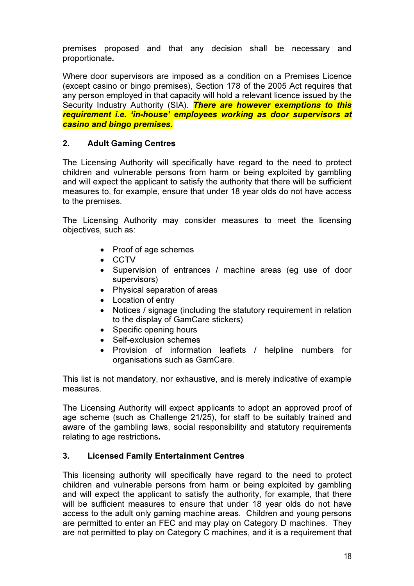premises proposed and that any decision shall be necessary and proportionate.

Where door supervisors are imposed as a condition on a Premises Licence (except casino or bingo premises), Section 178 of the 2005 Act requires that any person employed in that capacity will hold a relevant licence issued by the Security Industry Authority (SIA). *There are however exemptions to this requirement i.e. 'in-house' employees working as door supervisors at casino and bingo premises.* 

## 2. Adult Gaming Centres

The Licensing Authority will specifically have regard to the need to protect children and vulnerable persons from harm or being exploited by gambling and will expect the applicant to satisfy the authority that there will be sufficient measures to, for example, ensure that under 18 year olds do not have access to the premises.

The Licensing Authority may consider measures to meet the licensing objectives, such as:

- Proof of age schemes
- CCTV
- Supervision of entrances / machine areas (eg use of door supervisors)
- Physical separation of areas
- Location of entry
- Notices / signage (including the statutory requirement in relation to the display of GamCare stickers)
- Specific opening hours
- Self-exclusion schemes
- Provision of information leaflets / helpline numbers for organisations such as GamCare.

This list is not mandatory, nor exhaustive, and is merely indicative of example measures.

The Licensing Authority will expect applicants to adopt an approved proof of age scheme (such as Challenge 21/25), for staff to be suitably trained and aware of the gambling laws, social responsibility and statutory requirements relating to age restrictions*.* 

## 3. Licensed Family Entertainment Centres

This licensing authority will specifically have regard to the need to protect children and vulnerable persons from harm or being exploited by gambling and will expect the applicant to satisfy the authority, for example, that there will be sufficient measures to ensure that under 18 year olds do not have access to the adult only gaming machine areas. Children and young persons are permitted to enter an FEC and may play on Category D machines. They are not permitted to play on Category C machines, and it is a requirement that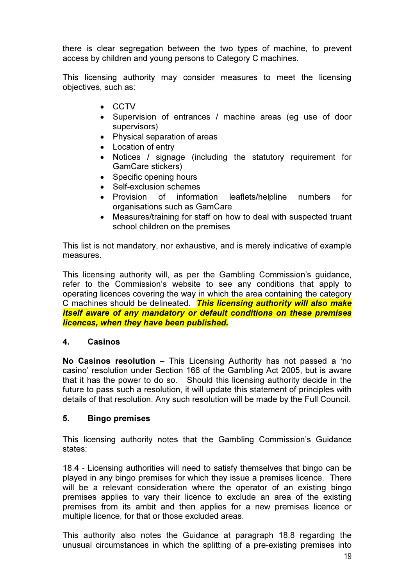there is clear segregation between the two types of machine, to prevent access by children and young persons to Category C machines.

This licensing authority may consider measures to meet the licensing objectives, such as:

- CCTV
- Supervision of entrances / machine areas (eg use of door supervisors)
- Physical separation of areas
- Location of entry
- Notices / signage (including the statutory requirement for GamCare stickers)
- Specific opening hours
- Self-exclusion schemes
- Provision of information leaflets/helpline numbers for organisations such as GamCare
- Measures/training for staff on how to deal with suspected truant school children on the premises

This list is not mandatory, nor exhaustive, and is merely indicative of example measures.

This licensing authority will, as per the Gambling Commission's guidance, refer to the Commission's website to see any conditions that apply to operating licences covering the way in which the area containing the category C machines should be delineated. *This licensing authority will also make itself aware of any mandatory or default conditions on these premises licences, when they have been published.*

#### 4. Casinos

No Casinos resolution – This Licensing Authority has not passed a 'no casino' resolution under Section 166 of the Gambling Act 2005, but is aware that it has the power to do so. Should this licensing authority decide in the future to pass such a resolution, it will update this statement of principles with details of that resolution. Any such resolution will be made by the Full Council.

#### 5. Bingo premises

This licensing authority notes that the Gambling Commission's Guidance states:

18.4 - Licensing authorities will need to satisfy themselves that bingo can be played in any bingo premises for which they issue a premises licence. There will be a relevant consideration where the operator of an existing bingo premises applies to vary their licence to exclude an area of the existing premises from its ambit and then applies for a new premises licence or multiple licence, for that or those excluded areas.

This authority also notes the Guidance at paragraph 18.8 regarding the unusual circumstances in which the splitting of a pre-existing premises into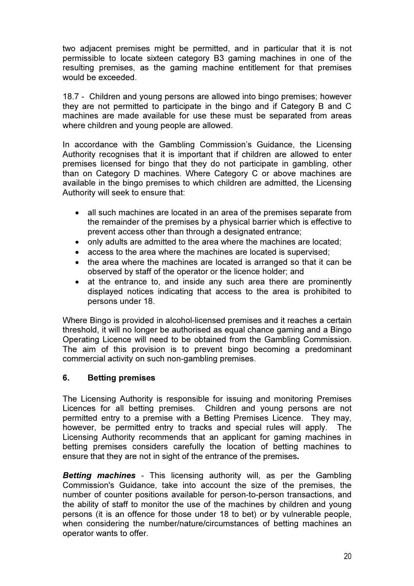two adjacent premises might be permitted, and in particular that it is not permissible to locate sixteen category B3 gaming machines in one of the resulting premises, as the gaming machine entitlement for that premises would be exceeded.

18.7 - Children and young persons are allowed into bingo premises; however they are not permitted to participate in the bingo and if Category B and C machines are made available for use these must be separated from areas where children and young people are allowed.

In accordance with the Gambling Commission's Guidance, the Licensing Authority recognises that it is important that if children are allowed to enter premises licensed for bingo that they do not participate in gambling, other than on Category D machines. Where Category C or above machines are available in the bingo premises to which children are admitted, the Licensing Authority will seek to ensure that:

- all such machines are located in an area of the premises separate from the remainder of the premises by a physical barrier which is effective to prevent access other than through a designated entrance;
- only adults are admitted to the area where the machines are located;
- access to the area where the machines are located is supervised:
- the area where the machines are located is arranged so that it can be observed by staff of the operator or the licence holder; and
- at the entrance to, and inside any such area there are prominently displayed notices indicating that access to the area is prohibited to persons under 18.

Where Bingo is provided in alcohol-licensed premises and it reaches a certain threshold, it will no longer be authorised as equal chance gaming and a Bingo Operating Licence will need to be obtained from the Gambling Commission. The aim of this provision is to prevent bingo becoming a predominant commercial activity on such non-gambling premises.

## 6. Betting premises

The Licensing Authority is responsible for issuing and monitoring Premises Licences for all betting premises. Children and young persons are not permitted entry to a premise with a Betting Premises Licence. They may, however, be permitted entry to tracks and special rules will apply. The Licensing Authority recommends that an applicant for gaming machines in betting premises considers carefully the location of betting machines to ensure that they are not in sight of the entrance of the premises*.* 

*Betting machines* - This licensing authority will, as per the Gambling Commission's Guidance, take into account the size of the premises, the number of counter positions available for person-to-person transactions, and the ability of staff to monitor the use of the machines by children and young persons (it is an offence for those under 18 to bet) or by vulnerable people, when considering the number/nature/circumstances of betting machines an operator wants to offer.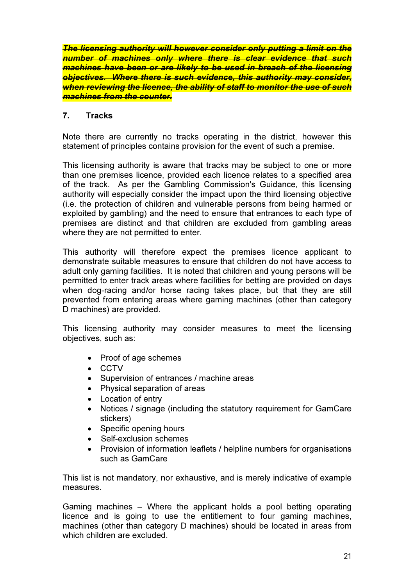*The licensing authority will however consider only putting a limit on the number of machines only where there is clear evidence that such machines have been or are likely to be used in breach of the licensing objectives. Where there is such evidence, this authority may consider, when reviewing the licence, the ability of staff to monitor the use of such machines from the counter.* 

### 7. Tracks

Note there are currently no tracks operating in the district, however this statement of principles contains provision for the event of such a premise.

This licensing authority is aware that tracks may be subject to one or more than one premises licence, provided each licence relates to a specified area of the track. As per the Gambling Commission's Guidance, this licensing authority will especially consider the impact upon the third licensing objective (i.e. the protection of children and vulnerable persons from being harmed or exploited by gambling) and the need to ensure that entrances to each type of premises are distinct and that children are excluded from gambling areas where they are not permitted to enter.

This authority will therefore expect the premises licence applicant to demonstrate suitable measures to ensure that children do not have access to adult only gaming facilities. It is noted that children and young persons will be permitted to enter track areas where facilities for betting are provided on days when dog-racing and/or horse racing takes place, but that they are still prevented from entering areas where gaming machines (other than category D machines) are provided.

This licensing authority may consider measures to meet the licensing objectives, such as:

- Proof of age schemes
- CCTV
- Supervision of entrances / machine areas
- Physical separation of areas
- Location of entry
- Notices / signage (including the statutory requirement for GamCare stickers)
- Specific opening hours
- Self-exclusion schemes
- Provision of information leaflets / helpline numbers for organisations such as GamCare

This list is not mandatory, nor exhaustive, and is merely indicative of example measures.

Gaming machines – Where the applicant holds a pool betting operating licence and is going to use the entitlement to four gaming machines, machines (other than category D machines) should be located in areas from which children are excluded.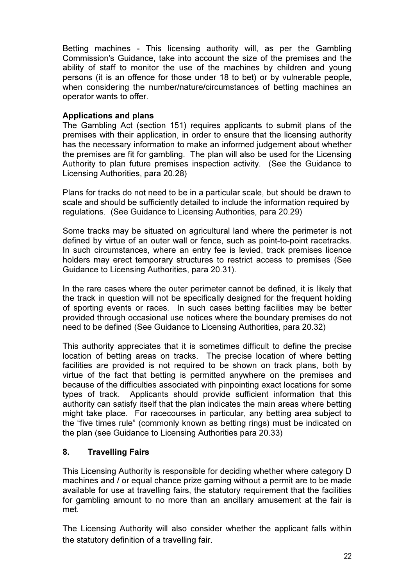Betting machines - This licensing authority will, as per the Gambling Commission's Guidance, take into account the size of the premises and the ability of staff to monitor the use of the machines by children and young persons (it is an offence for those under 18 to bet) or by vulnerable people, when considering the number/nature/circumstances of betting machines an operator wants to offer.

## Applications and plans

The Gambling Act (section 151) requires applicants to submit plans of the premises with their application, in order to ensure that the licensing authority has the necessary information to make an informed judgement about whether the premises are fit for gambling. The plan will also be used for the Licensing Authority to plan future premises inspection activity. (See the Guidance to Licensing Authorities, para 20.28)

Plans for tracks do not need to be in a particular scale, but should be drawn to scale and should be sufficiently detailed to include the information required by regulations. (See Guidance to Licensing Authorities, para 20.29)

Some tracks may be situated on agricultural land where the perimeter is not defined by virtue of an outer wall or fence, such as point-to-point racetracks. In such circumstances, where an entry fee is levied, track premises licence holders may erect temporary structures to restrict access to premises (See Guidance to Licensing Authorities, para 20.31).

In the rare cases where the outer perimeter cannot be defined, it is likely that the track in question will not be specifically designed for the frequent holding of sporting events or races. In such cases betting facilities may be better provided through occasional use notices where the boundary premises do not need to be defined (See Guidance to Licensing Authorities, para 20.32)

This authority appreciates that it is sometimes difficult to define the precise location of betting areas on tracks. The precise location of where betting facilities are provided is not required to be shown on track plans, both by virtue of the fact that betting is permitted anywhere on the premises and because of the difficulties associated with pinpointing exact locations for some types of track. Applicants should provide sufficient information that this authority can satisfy itself that the plan indicates the main areas where betting might take place. For racecourses in particular, any betting area subject to the "five times rule" (commonly known as betting rings) must be indicated on the plan (see Guidance to Licensing Authorities para 20.33)

## 8. Travelling Fairs

This Licensing Authority is responsible for deciding whether where category D machines and / or equal chance prize gaming without a permit are to be made available for use at travelling fairs, the statutory requirement that the facilities for gambling amount to no more than an ancillary amusement at the fair is met.

The Licensing Authority will also consider whether the applicant falls within the statutory definition of a travelling fair.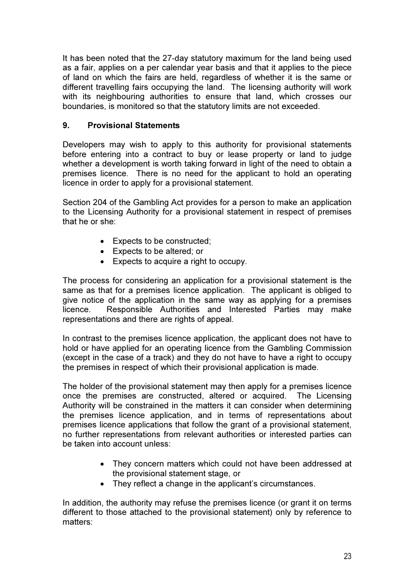It has been noted that the 27-day statutory maximum for the land being used as a fair, applies on a per calendar year basis and that it applies to the piece of land on which the fairs are held, regardless of whether it is the same or different travelling fairs occupying the land. The licensing authority will work with its neighbouring authorities to ensure that land, which crosses our boundaries, is monitored so that the statutory limits are not exceeded.

### 9. Provisional Statements

Developers may wish to apply to this authority for provisional statements before entering into a contract to buy or lease property or land to judge whether a development is worth taking forward in light of the need to obtain a premises licence. There is no need for the applicant to hold an operating licence in order to apply for a provisional statement.

Section 204 of the Gambling Act provides for a person to make an application to the Licensing Authority for a provisional statement in respect of premises that he or she:

- Expects to be constructed;
- Expects to be altered; or
- Expects to acquire a right to occupy.

The process for considering an application for a provisional statement is the same as that for a premises licence application. The applicant is obliged to give notice of the application in the same way as applying for a premises licence. Responsible Authorities and Interested Parties may make representations and there are rights of appeal.

In contrast to the premises licence application, the applicant does not have to hold or have applied for an operating licence from the Gambling Commission (except in the case of a track) and they do not have to have a right to occupy the premises in respect of which their provisional application is made.

The holder of the provisional statement may then apply for a premises licence once the premises are constructed, altered or acquired. The Licensing Authority will be constrained in the matters it can consider when determining the premises licence application, and in terms of representations about premises licence applications that follow the grant of a provisional statement, no further representations from relevant authorities or interested parties can be taken into account unless:

- They concern matters which could not have been addressed at the provisional statement stage, or
- They reflect a change in the applicant's circumstances.

In addition, the authority may refuse the premises licence (or grant it on terms different to those attached to the provisional statement) only by reference to matters: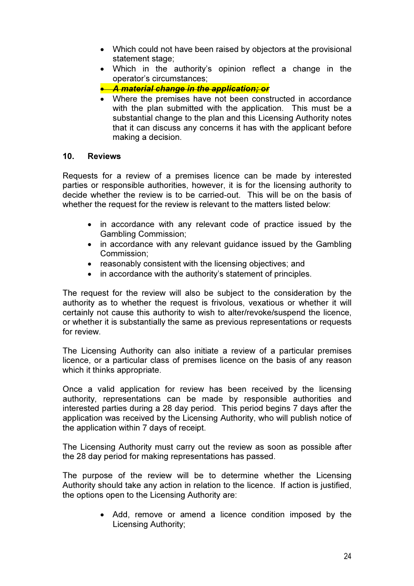- Which could not have been raised by objectors at the provisional statement stage;
- Which in the authority's opinion reflect a change in the operator's circumstances;
- *A material change in the application; or*
- Where the premises have not been constructed in accordance with the plan submitted with the application. This must be a substantial change to the plan and this Licensing Authority notes that it can discuss any concerns it has with the applicant before making a decision.

#### 10. Reviews

Requests for a review of a premises licence can be made by interested parties or responsible authorities, however, it is for the licensing authority to decide whether the review is to be carried-out. This will be on the basis of whether the request for the review is relevant to the matters listed below:

- in accordance with any relevant code of practice issued by the Gambling Commission;
- in accordance with any relevant quidance issued by the Gambling Commission;
- reasonably consistent with the licensing objectives; and
- in accordance with the authority's statement of principles.

The request for the review will also be subject to the consideration by the authority as to whether the request is frivolous, vexatious or whether it will certainly not cause this authority to wish to alter/revoke/suspend the licence, or whether it is substantially the same as previous representations or requests for review.

The Licensing Authority can also initiate a review of a particular premises licence, or a particular class of premises licence on the basis of any reason which it thinks appropriate.

Once a valid application for review has been received by the licensing authority, representations can be made by responsible authorities and interested parties during a 28 day period. This period begins 7 days after the application was received by the Licensing Authority, who will publish notice of the application within 7 days of receipt.

The Licensing Authority must carry out the review as soon as possible after the 28 day period for making representations has passed.

The purpose of the review will be to determine whether the Licensing Authority should take any action in relation to the licence. If action is justified, the options open to the Licensing Authority are:

> • Add, remove or amend a licence condition imposed by the Licensing Authority;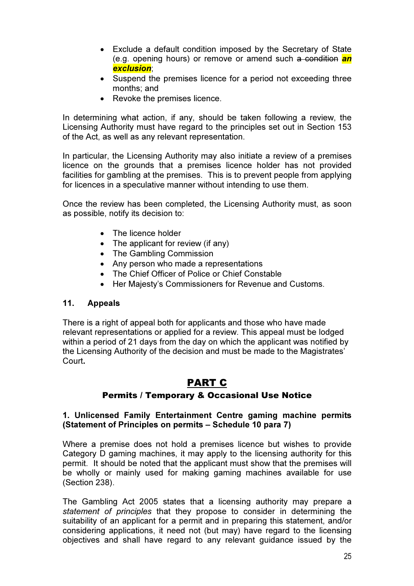- Exclude a default condition imposed by the Secretary of State (e.g. opening hours) or remove or amend such a condition *an exclusion*;
- Suspend the premises licence for a period not exceeding three months; and
- Revoke the premises licence.

In determining what action, if any, should be taken following a review, the Licensing Authority must have regard to the principles set out in Section 153 of the Act, as well as any relevant representation.

In particular, the Licensing Authority may also initiate a review of a premises licence on the grounds that a premises licence holder has not provided facilities for gambling at the premises. This is to prevent people from applying for licences in a speculative manner without intending to use them.

Once the review has been completed, the Licensing Authority must, as soon as possible, notify its decision to:

- The licence holder
- The applicant for review (if any)
- The Gambling Commission
- Any person who made a representations
- The Chief Officer of Police or Chief Constable
- Her Majesty's Commissioners for Revenue and Customs.

#### 11. Appeals

There is a right of appeal both for applicants and those who have made relevant representations or applied for a review. This appeal must be lodged within a period of 21 days from the day on which the applicant was notified by the Licensing Authority of the decision and must be made to the Magistrates' Court.

## PART C

## Permits / Temporary & Occasional Use Notice

#### 1. Unlicensed Family Entertainment Centre gaming machine permits (Statement of Principles on permits – Schedule 10 para 7)

Where a premise does not hold a premises licence but wishes to provide Category D gaming machines, it may apply to the licensing authority for this permit. It should be noted that the applicant must show that the premises will be wholly or mainly used for making gaming machines available for use (Section 238).

The Gambling Act 2005 states that a licensing authority may prepare a statement of principles that they propose to consider in determining the suitability of an applicant for a permit and in preparing this statement, and/or considering applications, it need not (but may) have regard to the licensing objectives and shall have regard to any relevant guidance issued by the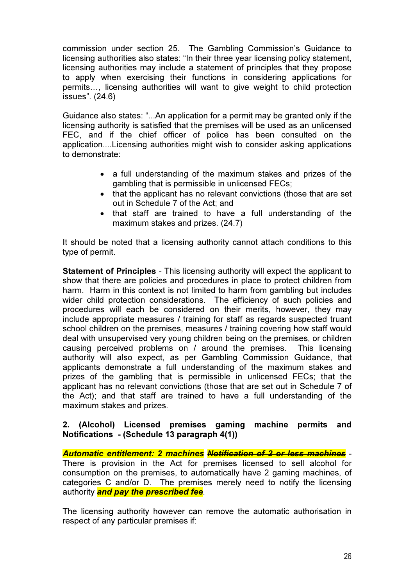commission under section 25. The Gambling Commission's Guidance to licensing authorities also states: "In their three year licensing policy statement, licensing authorities may include a statement of principles that they propose to apply when exercising their functions in considering applications for permits..., licensing authorities will want to give weight to child protection issues". (24.6)

Guidance also states: "...An application for a permit may be granted only if the licensing authority is satisfied that the premises will be used as an unlicensed FEC, and if the chief officer of police has been consulted on the application....Licensing authorities might wish to consider asking applications to demonstrate:

- a full understanding of the maximum stakes and prizes of the gambling that is permissible in unlicensed FECs;
- that the applicant has no relevant convictions (those that are set out in Schedule 7 of the Act; and
- that staff are trained to have a full understanding of the maximum stakes and prizes. (24.7)

It should be noted that a licensing authority cannot attach conditions to this type of permit.

Statement of Principles - This licensing authority will expect the applicant to show that there are policies and procedures in place to protect children from harm. Harm in this context is not limited to harm from gambling but includes wider child protection considerations. The efficiency of such policies and procedures will each be considered on their merits, however, they may include appropriate measures / training for staff as regards suspected truant school children on the premises, measures / training covering how staff would deal with unsupervised very young children being on the premises, or children causing perceived problems on / around the premises. This licensing authority will also expect, as per Gambling Commission Guidance, that applicants demonstrate a full understanding of the maximum stakes and prizes of the gambling that is permissible in unlicensed FECs; that the applicant has no relevant convictions (those that are set out in Schedule 7 of the Act); and that staff are trained to have a full understanding of the maximum stakes and prizes.

#### 2. (Alcohol) Licensed premises gaming machine permits and Notifications - (Schedule 13 paragraph 4(1))

*Automatic entitlement: 2 machines Notification of 2 or less machines* - There is provision in the Act for premises licensed to sell alcohol for consumption on the premises, to automatically have 2 gaming machines, of categories C and/or D. The premises merely need to notify the licensing authority *and pay the prescribed fee*.

The licensing authority however can remove the automatic authorisation in respect of any particular premises if: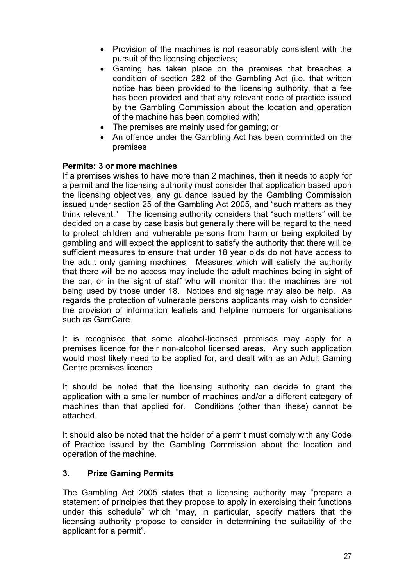- Provision of the machines is not reasonably consistent with the pursuit of the licensing objectives;
- Gaming has taken place on the premises that breaches a condition of section 282 of the Gambling Act (i.e. that written notice has been provided to the licensing authority, that a fee has been provided and that any relevant code of practice issued by the Gambling Commission about the location and operation of the machine has been complied with)
- The premises are mainly used for gaming; or
- An offence under the Gambling Act has been committed on the premises

#### Permits: 3 or more machines

If a premises wishes to have more than 2 machines, then it needs to apply for a permit and the licensing authority must consider that application based upon the licensing objectives, any guidance issued by the Gambling Commission issued under section 25 of the Gambling Act 2005, and "such matters as they think relevant." The licensing authority considers that "such matters" will be decided on a case by case basis but generally there will be regard to the need to protect children and vulnerable persons from harm or being exploited by gambling and will expect the applicant to satisfy the authority that there will be sufficient measures to ensure that under 18 year olds do not have access to the adult only gaming machines. Measures which will satisfy the authority that there will be no access may include the adult machines being in sight of the bar, or in the sight of staff who will monitor that the machines are not being used by those under 18. Notices and signage may also be help. As regards the protection of vulnerable persons applicants may wish to consider the provision of information leaflets and helpline numbers for organisations such as GamCare.

It is recognised that some alcohol-licensed premises may apply for a premises licence for their non-alcohol licensed areas. Any such application would most likely need to be applied for, and dealt with as an Adult Gaming Centre premises licence.

It should be noted that the licensing authority can decide to grant the application with a smaller number of machines and/or a different category of machines than that applied for. Conditions (other than these) cannot be attached.

It should also be noted that the holder of a permit must comply with any Code of Practice issued by the Gambling Commission about the location and operation of the machine.

#### 3. Prize Gaming Permits

The Gambling Act 2005 states that a licensing authority may "prepare a statement of principles that they propose to apply in exercising their functions under this schedule" which "may, in particular, specify matters that the licensing authority propose to consider in determining the suitability of the applicant for a permit".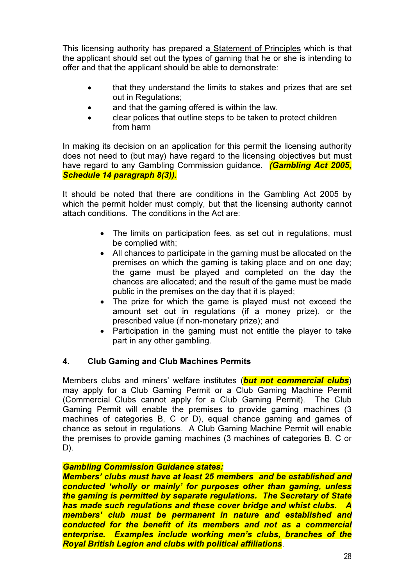This licensing authority has prepared a Statement of Principles which is that the applicant should set out the types of gaming that he or she is intending to offer and that the applicant should be able to demonstrate:

- that they understand the limits to stakes and prizes that are set out in Regulations;
- and that the gaming offered is within the law.
- clear polices that outline steps to be taken to protect children from harm

In making its decision on an application for this permit the licensing authority does not need to (but may) have regard to the licensing objectives but must have regard to any Gambling Commission guidance. *(Gambling Act 2005, Schedule 14 paragraph 8(3)).* 

It should be noted that there are conditions in the Gambling Act 2005 by which the permit holder must comply, but that the licensing authority cannot attach conditions. The conditions in the Act are:

- The limits on participation fees, as set out in regulations, must be complied with;
- All chances to participate in the gaming must be allocated on the premises on which the gaming is taking place and on one day; the game must be played and completed on the day the chances are allocated; and the result of the game must be made public in the premises on the day that it is played;
- The prize for which the game is played must not exceed the amount set out in regulations (if a money prize), or the prescribed value (if non-monetary prize); and
- Participation in the gaming must not entitle the player to take part in any other gambling.

## 4. Club Gaming and Club Machines Permits

Members clubs and miners' welfare institutes (*but not commercial clubs*) may apply for a Club Gaming Permit or a Club Gaming Machine Permit (Commercial Clubs cannot apply for a Club Gaming Permit). The Club Gaming Permit will enable the premises to provide gaming machines (3 machines of categories B, C or D), equal chance gaming and games of chance as setout in regulations. A Club Gaming Machine Permit will enable the premises to provide gaming machines (3 machines of categories B, C or D).

#### *Gambling Commission Guidance states:*

*Members' clubs must have at least 25 members and be established and conducted 'wholly or mainly' for purposes other than gaming, unless the gaming is permitted by separate regulations. The Secretary of State has made such regulations and these cover bridge and whist clubs. A members' club must be permanent in nature and established and conducted for the benefit of its members and not as a commercial enterprise. Examples include working men's clubs, branches of the Royal British Legion and clubs with political affiliations*.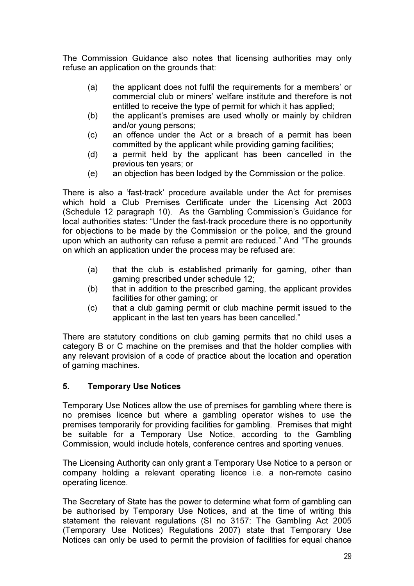The Commission Guidance also notes that licensing authorities may only refuse an application on the grounds that:

- (a) the applicant does not fulfil the requirements for a members' or commercial club or miners' welfare institute and therefore is not entitled to receive the type of permit for which it has applied;
- (b) the applicant's premises are used wholly or mainly by children and/or young persons;
- (c) an offence under the Act or a breach of a permit has been committed by the applicant while providing gaming facilities;
- (d) a permit held by the applicant has been cancelled in the previous ten years; or
- (e) an objection has been lodged by the Commission or the police.

There is also a 'fast-track' procedure available under the Act for premises which hold a Club Premises Certificate under the Licensing Act 2003 (Schedule 12 paragraph 10). As the Gambling Commission's Guidance for local authorities states: "Under the fast-track procedure there is no opportunity for objections to be made by the Commission or the police, and the ground upon which an authority can refuse a permit are reduced." And "The grounds on which an application under the process may be refused are:

- (a) that the club is established primarily for gaming, other than gaming prescribed under schedule 12;
- (b) that in addition to the prescribed gaming, the applicant provides facilities for other gaming; or
- (c) that a club gaming permit or club machine permit issued to the applicant in the last ten years has been cancelled."

There are statutory conditions on club gaming permits that no child uses a category B or C machine on the premises and that the holder complies with any relevant provision of a code of practice about the location and operation of gaming machines.

## 5. Temporary Use Notices

Temporary Use Notices allow the use of premises for gambling where there is no premises licence but where a gambling operator wishes to use the premises temporarily for providing facilities for gambling. Premises that might be suitable for a Temporary Use Notice, according to the Gambling Commission, would include hotels, conference centres and sporting venues.

The Licensing Authority can only grant a Temporary Use Notice to a person or company holding a relevant operating licence i.e. a non-remote casino operating licence.

The Secretary of State has the power to determine what form of gambling can be authorised by Temporary Use Notices, and at the time of writing this statement the relevant regulations (SI no 3157: The Gambling Act 2005 (Temporary Use Notices) Regulations 2007) state that Temporary Use Notices can only be used to permit the provision of facilities for equal chance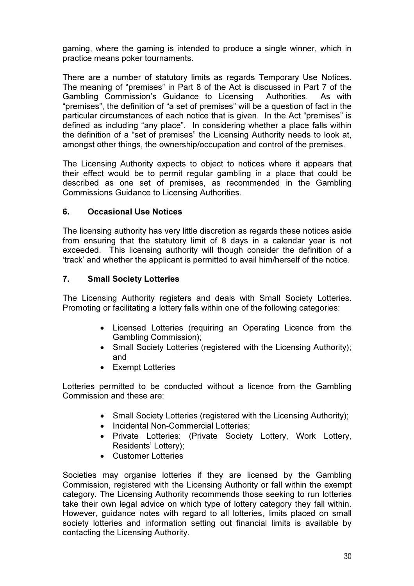gaming, where the gaming is intended to produce a single winner, which in practice means poker tournaments.

There are a number of statutory limits as regards Temporary Use Notices. The meaning of "premises" in Part 8 of the Act is discussed in Part 7 of the Gambling Commission's Guidance to Licensing Authorities. As with "premises", the definition of "a set of premises" will be a question of fact in the particular circumstances of each notice that is given. In the Act "premises" is defined as including "any place". In considering whether a place falls within the definition of a "set of premises" the Licensing Authority needs to look at, amongst other things, the ownership/occupation and control of the premises.

The Licensing Authority expects to object to notices where it appears that their effect would be to permit regular gambling in a place that could be described as one set of premises, as recommended in the Gambling Commissions Guidance to Licensing Authorities.

### 6. Occasional Use Notices

The licensing authority has very little discretion as regards these notices aside from ensuring that the statutory limit of 8 days in a calendar year is not exceeded. This licensing authority will though consider the definition of a 'track' and whether the applicant is permitted to avail him/herself of the notice.

### 7. Small Society Lotteries

The Licensing Authority registers and deals with Small Society Lotteries. Promoting or facilitating a lottery falls within one of the following categories:

- Licensed Lotteries (requiring an Operating Licence from the Gambling Commission);
- Small Society Lotteries (registered with the Licensing Authority); and
- Exempt Lotteries

Lotteries permitted to be conducted without a licence from the Gambling Commission and these are:

- Small Society Lotteries (registered with the Licensing Authority):
- Incidental Non-Commercial Lotteries;
- Private Lotteries: (Private Society Lottery, Work Lottery, Residents' Lottery);
- Customer Lotteries

Societies may organise lotteries if they are licensed by the Gambling Commission, registered with the Licensing Authority or fall within the exempt category. The Licensing Authority recommends those seeking to run lotteries take their own legal advice on which type of lottery category they fall within. However, guidance notes with regard to all lotteries, limits placed on small society lotteries and information setting out financial limits is available by contacting the Licensing Authority.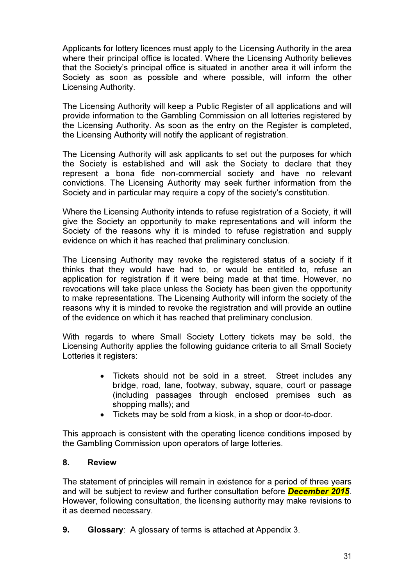Applicants for lottery licences must apply to the Licensing Authority in the area where their principal office is located. Where the Licensing Authority believes that the Society's principal office is situated in another area it will inform the Society as soon as possible and where possible, will inform the other Licensing Authority.

The Licensing Authority will keep a Public Register of all applications and will provide information to the Gambling Commission on all lotteries registered by the Licensing Authority. As soon as the entry on the Register is completed, the Licensing Authority will notify the applicant of registration.

The Licensing Authority will ask applicants to set out the purposes for which the Society is established and will ask the Society to declare that they represent a bona fide non-commercial society and have no relevant convictions. The Licensing Authority may seek further information from the Society and in particular may require a copy of the society's constitution.

Where the Licensing Authority intends to refuse registration of a Society, it will give the Society an opportunity to make representations and will inform the Society of the reasons why it is minded to refuse registration and supply evidence on which it has reached that preliminary conclusion.

The Licensing Authority may revoke the registered status of a society if it thinks that they would have had to, or would be entitled to, refuse an application for registration if it were being made at that time. However, no revocations will take place unless the Society has been given the opportunity to make representations. The Licensing Authority will inform the society of the reasons why it is minded to revoke the registration and will provide an outline of the evidence on which it has reached that preliminary conclusion.

With regards to where Small Society Lottery tickets may be sold, the Licensing Authority applies the following guidance criteria to all Small Society Lotteries it registers:

- Tickets should not be sold in a street. Street includes any bridge, road, lane, footway, subway, square, court or passage (including passages through enclosed premises such as shopping malls); and
- Tickets may be sold from a kiosk, in a shop or door-to-door.

This approach is consistent with the operating licence conditions imposed by the Gambling Commission upon operators of large lotteries.

#### 8. Review

The statement of principles will remain in existence for a period of three years and will be subject to review and further consultation before *December 2015*. However, following consultation, the licensing authority may make revisions to it as deemed necessary.

9. Glossary: A glossary of terms is attached at Appendix 3.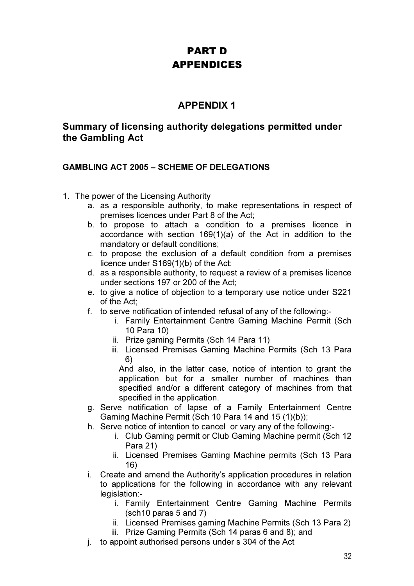# PART D APPENDICES

## APPENDIX 1

## Summary of licensing authority delegations permitted under the Gambling Act

## GAMBLING ACT 2005 – SCHEME OF DELEGATIONS

- 1. The power of the Licensing Authority
	- a. as a responsible authority, to make representations in respect of premises licences under Part 8 of the Act;
	- b. to propose to attach a condition to a premises licence in accordance with section 169(1)(a) of the Act in addition to the mandatory or default conditions;
	- c. to propose the exclusion of a default condition from a premises licence under S169(1)(b) of the Act;
	- d. as a responsible authority, to request a review of a premises licence under sections 197 or 200 of the Act;
	- e. to give a notice of objection to a temporary use notice under S221 of the Act;
	- f. to serve notification of intended refusal of any of the following:
		- i. Family Entertainment Centre Gaming Machine Permit (Sch 10 Para 10)
		- ii. Prize gaming Permits (Sch 14 Para 11)
		- iii. Licensed Premises Gaming Machine Permits (Sch 13 Para 6)

And also, in the latter case, notice of intention to grant the application but for a smaller number of machines than specified and/or a different category of machines from that specified in the application.

- g. Serve notification of lapse of a Family Entertainment Centre Gaming Machine Permit (Sch 10 Para 14 and 15 (1)(b));
- h. Serve notice of intention to cancel or vary any of the following:
	- i. Club Gaming permit or Club Gaming Machine permit (Sch 12 Para 21)
	- ii. Licensed Premises Gaming Machine permits (Sch 13 Para 16)
- i. Create and amend the Authority's application procedures in relation to applications for the following in accordance with any relevant legislation:
	- i. Family Entertainment Centre Gaming Machine Permits (sch10 paras 5 and 7)
	- ii. Licensed Premises gaming Machine Permits (Sch 13 Para 2)
	- iii. Prize Gaming Permits (Sch 14 paras 6 and 8); and
- j. to appoint authorised persons under s 304 of the Act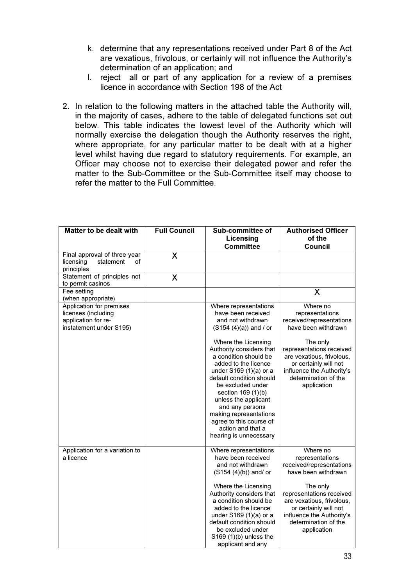- k. determine that any representations received under Part 8 of the Act are vexatious, frivolous, or certainly will not influence the Authority's determination of an application; and
- l. reject all or part of any application for a review of a premises licence in accordance with Section 198 of the Act
- 2. In relation to the following matters in the attached table the Authority will, in the majority of cases, adhere to the table of delegated functions set out below. This table indicates the lowest level of the Authority which will normally exercise the delegation though the Authority reserves the right, where appropriate, for any particular matter to be dealt with at a higher level whilst having due regard to statutory requirements. For example, an Officer may choose not to exercise their delegated power and refer the matter to the Sub-Committee or the Sub-Committee itself may choose to refer the matter to the Full Committee.

| <b>Matter to be dealt with</b>                                                                    | <b>Full Council</b> | Sub-committee of<br>Licensing<br><b>Committee</b>                                                                                                                                                                                                                     | <b>Authorised Officer</b><br>of the<br><b>Council</b>                                                                                                          |
|---------------------------------------------------------------------------------------------------|---------------------|-----------------------------------------------------------------------------------------------------------------------------------------------------------------------------------------------------------------------------------------------------------------------|----------------------------------------------------------------------------------------------------------------------------------------------------------------|
| Final approval of three year<br>licensing<br>statement<br>οf<br>principles                        | X                   |                                                                                                                                                                                                                                                                       |                                                                                                                                                                |
| Statement of principles not<br>to permit casinos                                                  | X                   |                                                                                                                                                                                                                                                                       |                                                                                                                                                                |
| Fee setting<br>(when appropriate)                                                                 |                     |                                                                                                                                                                                                                                                                       | X                                                                                                                                                              |
| Application for premises<br>licenses (including<br>application for re-<br>instatement under S195) |                     | Where representations<br>have been received<br>and not withdrawn<br>$(S154 (4)(a))$ and / or<br>Where the Licensing<br>Authority considers that<br>a condition should be                                                                                              | Where no<br>representations<br>received/representations<br>have been withdrawn<br>The only<br>representations received<br>are vexatious, frivolous,            |
|                                                                                                   |                     | added to the licence<br>under $S169(1)(a)$ or a<br>default condition should<br>be excluded under<br>section 169 (1)(b)<br>unless the applicant<br>and any persons<br>making representations<br>agree to this course of<br>action and that a<br>hearing is unnecessary | or certainly will not<br>influence the Authority's<br>determination of the<br>application                                                                      |
| Application for a variation to<br>a licence                                                       |                     | Where representations<br>have been received<br>and not withdrawn<br>$(S154 (4)(b))$ and/ or                                                                                                                                                                           | Where no<br>representations<br>received/representations<br>have been withdrawn                                                                                 |
|                                                                                                   |                     | Where the Licensing<br>Authority considers that<br>a condition should be<br>added to the licence<br>under S169 (1)(a) or a<br>default condition should<br>be excluded under<br>$S169(1)(b)$ unless the<br>applicant and any                                           | The only<br>representations received<br>are vexatious, frivolous,<br>or certainly will not<br>influence the Authority's<br>determination of the<br>application |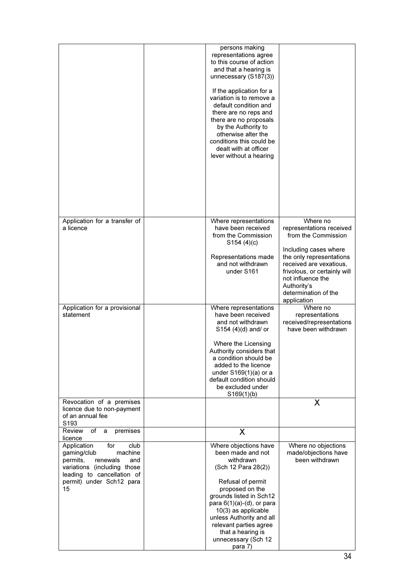|                                                                                                                                                                                    | persons making<br>representations agree<br>to this course of action<br>and that a hearing is<br>unnecessary (S187(3))<br>If the application for a<br>variation is to remove a<br>default condition and<br>there are no reps and<br>there are no proposals<br>by the Authority to<br>otherwise alter the<br>conditions this could be<br>dealt with at officer<br>lever without a hearing |                                                                                                                                                                                                                                                        |
|------------------------------------------------------------------------------------------------------------------------------------------------------------------------------------|-----------------------------------------------------------------------------------------------------------------------------------------------------------------------------------------------------------------------------------------------------------------------------------------------------------------------------------------------------------------------------------------|--------------------------------------------------------------------------------------------------------------------------------------------------------------------------------------------------------------------------------------------------------|
| Application for a transfer of<br>a licence                                                                                                                                         | Where representations<br>have been received<br>from the Commission<br>S154(4)(c)<br>Representations made<br>and not withdrawn<br>under S161                                                                                                                                                                                                                                             | Where no<br>representations received<br>from the Commission<br>Including cases where<br>the only representations<br>received are vexatious,<br>frivolous, or certainly will<br>not influence the<br>Authority's<br>determination of the<br>application |
| Application for a provisional<br>statement                                                                                                                                         | Where representations<br>have been received<br>and not withdrawn<br>S154 (4)(d) and/ or<br>Where the Licensing<br>Authority considers that<br>a condition should be<br>added to the licence<br>under $S169(1)(a)$ or a<br>default condition should<br>be excluded under<br>S169(1)(b)                                                                                                   | Where no<br>representations<br>received/representations<br>have been withdrawn                                                                                                                                                                         |
| Revocation of a premises<br>licence due to non-payment<br>of an annual fee<br>S <sub>193</sub>                                                                                     |                                                                                                                                                                                                                                                                                                                                                                                         | X                                                                                                                                                                                                                                                      |
| Review<br>of<br>premises<br>a<br>licence                                                                                                                                           | Χ                                                                                                                                                                                                                                                                                                                                                                                       |                                                                                                                                                                                                                                                        |
| for<br>Application<br>club<br>machine<br>gaming/club<br>renewals<br>permits,<br>and<br>variations (including those<br>leading to cancellation of<br>permit) under Sch12 para<br>15 | Where objections have<br>been made and not<br>withdrawn<br>(Sch 12 Para 28(2))<br>Refusal of permit<br>proposed on the<br>grounds listed in Sch12<br>para 6(1)(a)-(d), or para<br>10(3) as applicable<br>unless Authority and all<br>relevant parties agree<br>that a hearing is<br>unnecessary (Sch 12<br>para 7)                                                                      | Where no objections<br>made/objections have<br>been withdrawn                                                                                                                                                                                          |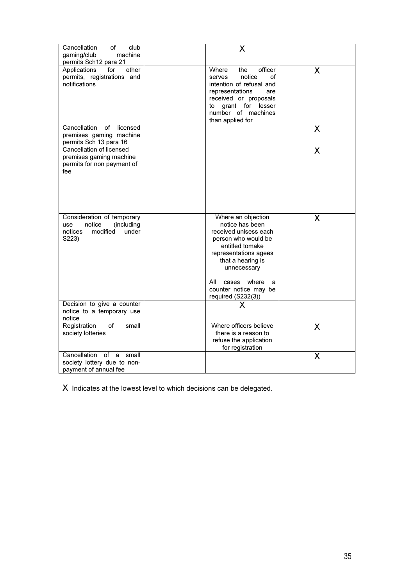| Cancellation<br>of<br>club                                                                         | X                                                                                                                                                                                                                                                  |   |
|----------------------------------------------------------------------------------------------------|----------------------------------------------------------------------------------------------------------------------------------------------------------------------------------------------------------------------------------------------------|---|
| machine<br>gaming/club                                                                             |                                                                                                                                                                                                                                                    |   |
| permits Sch12 para 21                                                                              |                                                                                                                                                                                                                                                    |   |
| Applications<br>other<br>for<br>permits, registrations and<br>notifications                        | Where<br>officer<br>the<br>notice<br>оf<br>serves<br>intention of refusal and<br>representations<br>are                                                                                                                                            | X |
|                                                                                                    | received or proposals<br>grant for lesser<br>to<br>number of machines<br>than applied for                                                                                                                                                          |   |
| Cancellation<br>of<br>licensed<br>premises gaming machine<br>permits Sch 13 para 16                |                                                                                                                                                                                                                                                    | X |
| Cancellation of licensed<br>premises gaming machine<br>permits for non payment of<br>fee           |                                                                                                                                                                                                                                                    | X |
| Consideration of temporary<br>notice<br>(including<br>use<br>modified<br>notices<br>under<br>S223) | Where an objection<br>notice has been<br>received unlsess each<br>person who would be<br>entitled tomake<br>representations agees<br>that a hearing is<br>unnecessary<br>where<br>All<br>cases<br>a<br>counter notice may be<br>required (S232(3)) | X |
| Decision to give a counter<br>notice to a temporary use<br>notice                                  | X                                                                                                                                                                                                                                                  |   |
| Registration<br>of<br>small<br>society lotteries                                                   | Where officers believe<br>there is a reason to<br>refuse the application<br>for registration                                                                                                                                                       | X |
| Cancellation<br>of a small<br>society lottery due to non-<br>payment of annual fee                 |                                                                                                                                                                                                                                                    | X |

X Indicates at the lowest level to which decisions can be delegated.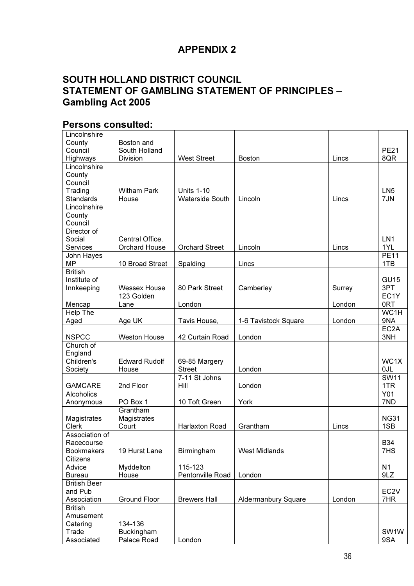## APPENDIX 2

## SOUTH HOLLAND DISTRICT COUNCIL STATEMENT OF GAMBLING STATEMENT OF PRINCIPLES – Gambling Act 2005

## Persons consulted:

| Lincolnshire        |                      |                        |                      |        |                           |
|---------------------|----------------------|------------------------|----------------------|--------|---------------------------|
| County              | Boston and           |                        |                      |        |                           |
| Council             | South Holland        |                        |                      |        | <b>PE21</b>               |
| Highways            | <b>Division</b>      | <b>West Street</b>     | <b>Boston</b>        | Lincs  | 8QR                       |
| Lincolnshire        |                      |                        |                      |        |                           |
| County              |                      |                        |                      |        |                           |
| Council             |                      |                        |                      |        |                           |
| Trading             | <b>Witham Park</b>   | <b>Units 1-10</b>      |                      |        | LN <sub>5</sub>           |
| Standards           | House                | <b>Waterside South</b> | Lincoln              | Lincs  | 7JN                       |
| Lincolnshire        |                      |                        |                      |        |                           |
| County              |                      |                        |                      |        |                           |
| Council             |                      |                        |                      |        |                           |
| Director of         |                      |                        |                      |        |                           |
| Social              | Central Office,      |                        |                      |        | LN <sub>1</sub>           |
| <b>Services</b>     | <b>Orchard House</b> | <b>Orchard Street</b>  | Lincoln              | Lincs  | 1YL                       |
| John Hayes          |                      |                        |                      |        | <b>PE11</b>               |
| <b>MP</b>           | 10 Broad Street      | Spalding               | Lincs                |        | 1TB                       |
| <b>British</b>      |                      |                        |                      |        |                           |
| Institute of        |                      |                        |                      |        | <b>GU15</b>               |
| Innkeeping          | <b>Wessex House</b>  | 80 Park Street         | Camberley            | Surrey | 3PT                       |
|                     | 123 Golden           |                        |                      |        | EC <sub>1</sub> Y         |
| Mencap              | Lane                 | London                 |                      | London | 0RT                       |
| Help The            |                      |                        |                      |        | WC1H                      |
| Aged                | Age UK               | Tavis House,           | 1-6 Tavistock Square | London | 9NA                       |
|                     |                      |                        |                      |        | EC <sub>2</sub> A         |
| <b>NSPCC</b>        | <b>Weston House</b>  | 42 Curtain Road        | London               |        | 3NH                       |
| Church of           |                      |                        |                      |        |                           |
| England             |                      |                        |                      |        |                           |
| Children's          | <b>Edward Rudolf</b> | 69-85 Margery          |                      |        | WC1X                      |
| Society             | House                | <b>Street</b>          | London               |        | 0JL                       |
|                     |                      | 7-11 St Johns          |                      |        | $\overline{\text{SW1}}$ 1 |
| <b>GAMCARE</b>      | 2nd Floor            | Hill                   | London               |        | 1TR                       |
| Alcoholics          |                      |                        |                      |        | $\overline{Y01}$          |
| Anonymous           | PO Box 1             | 10 Toft Green          | York                 |        | 7ND                       |
|                     | Grantham             |                        |                      |        |                           |
| Magistrates         | Magistrates          |                        |                      |        | <b>NG31</b>               |
| <b>Clerk</b>        | Court                | Harlaxton Road         | Grantham             | Lincs  | 1SB                       |
| Association of      |                      |                        |                      |        |                           |
| Racecourse          |                      |                        |                      |        | <b>B34</b>                |
| <b>Bookmakers</b>   | 19 Hurst Lane        | Birmingham             | <b>West Midlands</b> |        | 7HS                       |
| Citizens            |                      |                        |                      |        |                           |
| Advice              | Myddelton            | 115-123                |                      |        | N <sub>1</sub>            |
| <b>Bureau</b>       | House                | Pentonville Road       | London               |        | 9LZ                       |
| <b>British Beer</b> |                      |                        |                      |        |                           |
| and Pub             |                      |                        |                      |        | EC <sub>2V</sub>          |
| Association         | <b>Ground Floor</b>  | <b>Brewers Hall</b>    | Aldermanbury Square  | London | 7HR                       |
| <b>British</b>      |                      |                        |                      |        |                           |
| Amusement           |                      |                        |                      |        |                           |
| Catering            | 134-136              |                        |                      |        |                           |
| Trade               | Buckingham           |                        |                      |        | SW1W                      |
| Associated          | Palace Road          | London                 |                      |        | 9SA                       |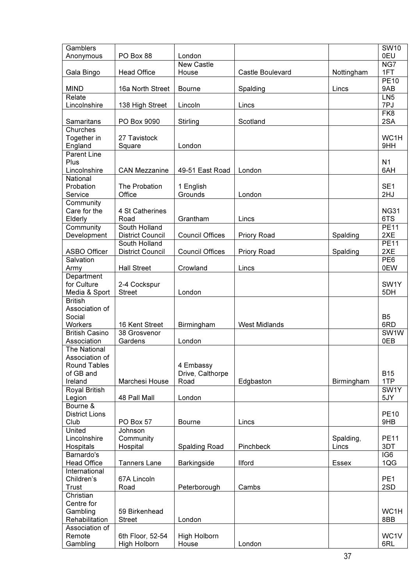| Gamblers              |                                          |                        |                      |            | <b>SW10</b>               |
|-----------------------|------------------------------------------|------------------------|----------------------|------------|---------------------------|
| Anonymous             | PO Box 88                                | London                 |                      |            | 0EU                       |
|                       |                                          | <b>New Castle</b>      |                      |            | NG7                       |
| Gala Bingo            | <b>Head Office</b>                       | House                  | Castle Boulevard     | Nottingham | 1FT                       |
|                       |                                          |                        |                      |            | <b>PE10</b>               |
| <b>MIND</b>           | 16a North Street                         | <b>Bourne</b>          | Spalding             | Lincs      | 9AB                       |
| Relate                |                                          |                        |                      |            | LN <sub>5</sub>           |
| Lincolnshire          | 138 High Street                          | Lincoln                | Lincs                |            | 7PJ                       |
|                       |                                          |                        |                      |            | FK8                       |
| Samaritans            | PO Box 9090                              | Stirling               | Scotland             |            | 2SA                       |
| Churches              |                                          |                        |                      |            |                           |
| Together in           | 27 Tavistock                             |                        |                      |            | WC1H                      |
| England               | Square                                   | London                 |                      |            | 9HH                       |
| <b>Parent Line</b>    |                                          |                        |                      |            |                           |
| Plus                  |                                          |                        |                      |            | N <sub>1</sub>            |
| Lincolnshire          | <b>CAN Mezzanine</b>                     | 49-51 East Road        | London               |            | 6AH                       |
| National              |                                          |                        |                      |            |                           |
| Probation             | The Probation                            | 1 English              |                      |            | SE <sub>1</sub>           |
| Service               | Office                                   | Grounds                | London               |            | 2HJ                       |
| Community             |                                          |                        |                      |            |                           |
| Care for the          | 4 St Catherines                          |                        |                      |            | <b>NG31</b>               |
| Elderly               | Road                                     | Grantham               | Lincs                |            | 6TS                       |
| Community             | South Holland                            |                        |                      |            | <b>PE11</b><br>2XE        |
| Development           | <b>District Council</b><br>South Holland | <b>Council Offices</b> | Priory Road          | Spalding   | <b>PE11</b>               |
| <b>ASBO Officer</b>   | <b>District Council</b>                  | <b>Council Offices</b> | Priory Road          |            | 2XE                       |
| Salvation             |                                          |                        |                      | Spalding   | PE <sub>6</sub>           |
| Army                  | <b>Hall Street</b>                       | Crowland               | Lincs                |            | 0EW                       |
| Department            |                                          |                        |                      |            |                           |
| for Culture           | 2-4 Cockspur                             |                        |                      |            | SW1Y                      |
| Media & Sport         | <b>Street</b>                            | London                 |                      |            | 5DH                       |
| <b>British</b>        |                                          |                        |                      |            |                           |
| Association of        |                                          |                        |                      |            |                           |
| Social                |                                          |                        |                      |            | B <sub>5</sub>            |
| <b>Workers</b>        | 16 Kent Street                           | Birmingham             | <b>West Midlands</b> |            | 6RD                       |
| <b>British Casino</b> | 38 Grosvenor                             |                        |                      |            | $\overline{\text{SW}}$ 1W |
| Association           | Gardens                                  | London                 |                      |            | 0EB                       |
| <b>The National</b>   |                                          |                        |                      |            |                           |
| Association of        |                                          |                        |                      |            |                           |
| Round Tables          |                                          | 4 Embassy              |                      |            |                           |
| of GB and             |                                          | Drive, Calthorpe       |                      |            | <b>B15</b>                |
| Ireland               | Marchesi House                           | Road                   | Edgbaston            | Birmingham | 1TP                       |
| Royal British         |                                          |                        |                      |            | SW1Y                      |
| Legion                | 48 Pall Mall                             | London                 |                      |            | 5JY                       |
| Bourne &              |                                          |                        |                      |            |                           |
| <b>District Lions</b> |                                          |                        |                      |            | <b>PE10</b>               |
| Club                  | PO Box 57                                | <b>Bourne</b>          | Lincs                |            | 9HB                       |
| United                | Johnson                                  |                        |                      |            |                           |
| Lincolnshire          | Community                                |                        |                      | Spalding,  | <b>PE11</b>               |
| Hospitals             | Hospital                                 | Spalding Road          | Pinchbeck            | Lincs      | 3DT                       |
| Barnardo's            |                                          |                        |                      |            | IG6                       |
| <b>Head Office</b>    | <b>Tanners Lane</b>                      | <b>Barkingside</b>     | <b>Ilford</b>        | Essex      | 1QG                       |
| International         |                                          |                        |                      |            |                           |
| Children's            | 67A Lincoln                              |                        |                      |            | PE <sub>1</sub>           |
| Trust                 | Road                                     | Peterborough           | Cambs                |            | 2SD                       |
| Christian             |                                          |                        |                      |            |                           |
| Centre for            |                                          |                        |                      |            |                           |
| Gambling              | 59 Birkenhead                            |                        |                      |            | WC1H                      |
| Rehabilitation        | <b>Street</b>                            | London                 |                      |            | 8BB                       |
| Association of        |                                          |                        |                      |            |                           |
| Remote                | 6th Floor, 52-54                         | High Holborn           |                      |            | WC1V                      |
| Gambling              | High Holborn                             | House                  | London               |            | 6RL                       |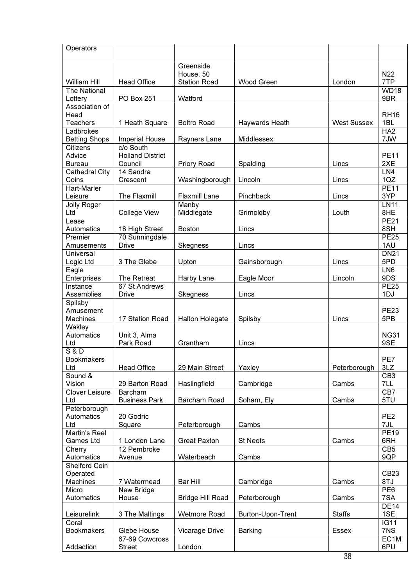| Operators                      |                                |                         |                   |                    |                        |
|--------------------------------|--------------------------------|-------------------------|-------------------|--------------------|------------------------|
|                                |                                |                         |                   |                    |                        |
|                                |                                | Greenside<br>House, 50  |                   |                    | N <sub>22</sub>        |
| <b>William Hill</b>            | <b>Head Office</b>             | <b>Station Road</b>     | <b>Wood Green</b> | London             | 7TP                    |
| The National                   |                                |                         |                   |                    | $\overline{WD}18$      |
| Lottery                        | <b>PO Box 251</b>              | Watford                 |                   |                    | 9BR                    |
| Association of                 |                                |                         |                   |                    |                        |
| Head                           |                                |                         |                   | <b>West Sussex</b> | <b>RH16</b><br>1BL     |
| <b>Teachers</b><br>Ladbrokes   | 1 Heath Square                 | <b>Boltro Road</b>      | Haywards Heath    |                    | H A2                   |
| <b>Betting Shops</b>           | <b>Imperial House</b>          | Rayners Lane            | <b>Middlessex</b> |                    | 7JW                    |
| <b>Citizens</b>                | c/o South                      |                         |                   |                    |                        |
| Advice                         | <b>Holland District</b>        |                         |                   |                    | <b>PE11</b>            |
| <b>Bureau</b>                  | Council                        | <b>Priory Road</b>      | Spalding          | Lincs              | 2XE                    |
| <b>Cathedral City</b><br>Coins | 14 Sandra<br>Crescent          | Washingborough          | Lincoln           | Lincs              | LN4<br>1QZ             |
| <b>Hart-Marler</b>             |                                |                         |                   |                    | <b>PE11</b>            |
| Leisure                        | The Flaxmill                   | <b>Flaxmill Lane</b>    | Pinchbeck         | Lincs              | 3YP                    |
| Jolly Roger                    |                                | Manby                   |                   |                    | <b>LN11</b>            |
| Ltd                            | <b>College View</b>            | Middlegate              | Grimoldby         | Louth              | 8HE                    |
| Lease                          |                                |                         |                   |                    | <b>PE21</b>            |
| Automatics<br>Premier          | 18 High Street                 | <b>Boston</b>           | Lincs             |                    | 8SH<br><b>PE25</b>     |
| Amusements                     | 70 Sunningdale<br><b>Drive</b> | <b>Skegness</b>         | Lincs             |                    | 1AU                    |
| Universal                      |                                |                         |                   |                    | <b>DN21</b>            |
| Logic Ltd                      | 3 The Glebe                    | Upton                   | Gainsborough      | Lincs              | 5PD                    |
| Eagle                          |                                |                         |                   |                    | LN <sub>6</sub>        |
| Enterprises                    | The Retreat                    | Harby Lane              | Eagle Moor        | Lincoln            | 9DS                    |
| Instance                       | 67 St Andrews                  |                         |                   |                    | <b>PE25</b><br>1DJ     |
| Assemblies<br>Spilsby          | <b>Drive</b>                   | <b>Skegness</b>         | Lincs             |                    |                        |
| Amusement                      |                                |                         |                   |                    | <b>PE23</b>            |
| <b>Machines</b>                | 17 Station Road                | Halton Holegate         | Spilsby           | Lincs              | 5PB                    |
| Wakley                         |                                |                         |                   |                    |                        |
| Automatics                     | Unit 3, Alma                   |                         |                   |                    | <b>NG31</b>            |
| Ltd<br><b>S &amp; D</b>        | Park Road                      | Grantham                | Lincs             |                    | 9SE                    |
| <b>Bookmakers</b>              |                                |                         |                   |                    | PE7                    |
| Ltd                            | <b>Head Office</b>             | 29 Main Street          | Yaxley            | Peterborough       | 3LZ                    |
| Sound &                        |                                |                         |                   |                    | CB3                    |
| Vision                         | 29 Barton Road                 | Haslingfield            | Cambridge         | Cambs              | 7LL                    |
| <b>Clover Leisure</b>          | Barcham                        |                         |                   | Cambs              | CB7                    |
| Ltd<br>Peterborough            | <b>Business Park</b>           | Barcham Road            | Soham, Ely        |                    | 5TU                    |
| Automatics                     | 20 Godric                      |                         |                   |                    | PE <sub>2</sub>        |
| Ltd                            | Square                         | Peterborough            | Cambs             |                    | 7JL                    |
| Martin's Reel                  |                                |                         |                   |                    | <b>PE19</b>            |
| Games Ltd                      | 1 London Lane                  | <b>Great Paxton</b>     | <b>St Neots</b>   | Cambs              | 6RH                    |
| Cherry<br>Automatics           | 12 Pembroke<br>Avenue          | Waterbeach              | Cambs             |                    | CB <sub>5</sub><br>9QP |
| Shelford Coin                  |                                |                         |                   |                    |                        |
| Operated                       |                                |                         |                   |                    | CB23                   |
| Machines                       | 7 Watermead                    | Bar Hill                | Cambridge         | Cambs              | 8TJ                    |
| Micro                          | New Bridge                     |                         |                   |                    | PE <sub>6</sub>        |
| Automatics                     | House                          | <b>Bridge Hill Road</b> | Peterborough      | Cambs              | 7SA                    |
| Leisurelink                    | 3 The Maltings                 | Wetmore Road            | Burton-Upon-Trent | <b>Staffs</b>      | <b>DE14</b><br>1SE     |
| Coral                          |                                |                         |                   |                    | <b>IG11</b>            |
| <b>Bookmakers</b>              | Glebe House                    | Vicarage Drive          | <b>Barking</b>    | Essex              | 7NS                    |
|                                | 67-69 Cowcross                 |                         |                   |                    | EC <sub>1</sub> M      |
| Addaction                      | <b>Street</b>                  | London                  |                   |                    | 6PU                    |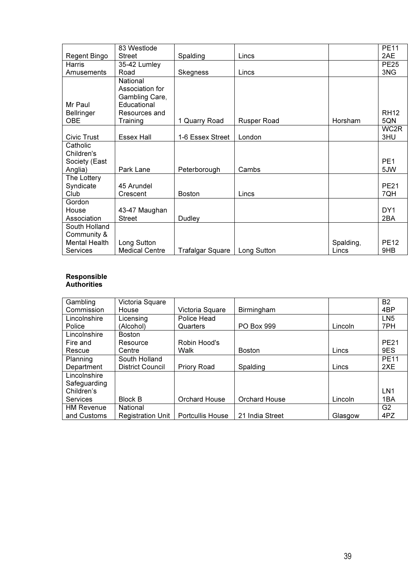|                                                                  | 83 Westlode                                                                               |                  |             |                    | <b>PE11</b>            |
|------------------------------------------------------------------|-------------------------------------------------------------------------------------------|------------------|-------------|--------------------|------------------------|
| <b>Regent Bingo</b>                                              | <b>Street</b>                                                                             | Spalding         | Lincs       |                    | 2AE                    |
| Harris                                                           | 35-42 Lumley                                                                              |                  |             |                    | <b>PE25</b>            |
| Amusements                                                       | Road                                                                                      | Skegness         | Lincs       |                    | 3NG                    |
| Mr Paul<br><b>Bellringer</b><br><b>OBE</b>                       | National<br>Association for<br>Gambling Care,<br>Educational<br>Resources and<br>Training | 1 Quarry Road    | Rusper Road | Horsham            | <b>RH12</b><br>5QN     |
|                                                                  |                                                                                           |                  |             |                    | WC2R                   |
| Civic Trust                                                      | Essex Hall                                                                                | 1-6 Essex Street | London      |                    | 3HU                    |
| Catholic<br>Children's<br>Society (East<br>Anglia)               | Park Lane                                                                                 | Peterborough     | Cambs       |                    | PE <sub>1</sub><br>5JW |
| The Lottery<br>Syndicate<br>Club                                 | 45 Arundel<br>Crescent                                                                    | <b>Boston</b>    | Lincs       |                    | <b>PE21</b><br>7QH     |
| Gordon<br>House<br>Association                                   | 43-47 Maughan<br><b>Street</b>                                                            | Dudley           |             |                    | DY <sub>1</sub><br>2BA |
| South Holland<br>Community &<br><b>Mental Health</b><br>Services | Long Sutton<br><b>Medical Centre</b>                                                      | Trafalgar Square | Long Sutton | Spalding,<br>Lincs | <b>PE12</b><br>9HB     |

#### Responsible Authorities

| Gambling          | Victoria Square          |                         |                   |         | <b>B2</b>       |
|-------------------|--------------------------|-------------------------|-------------------|---------|-----------------|
| Commission        | House                    | Victoria Square         | Birmingham        |         | 4BP             |
| Lincolnshire      | Licensing                | Police Head             |                   |         | LN <sub>5</sub> |
| Police            | (Alcohol)                | Quarters                | <b>PO Box 999</b> | Lincoln | 7PH             |
| Lincolnshire      | <b>Boston</b>            |                         |                   |         |                 |
| Fire and          | Resource                 | Robin Hood's            |                   |         | <b>PE21</b>     |
| Rescue            | Centre                   | Walk                    | <b>Boston</b>     | Lincs   | 9ES             |
| Planning          | South Holland            |                         |                   |         | <b>PE11</b>     |
| Department        | <b>District Council</b>  | Priory Road             | Spalding          | Lincs   | 2XE             |
| Lincolnshire      |                          |                         |                   |         |                 |
| Safeguarding      |                          |                         |                   |         |                 |
| Children's        |                          |                         |                   |         | LN <sub>1</sub> |
| Services          | <b>Block B</b>           | Orchard House           | Orchard House     | Lincoln | 1BA             |
| <b>HM Revenue</b> | National                 |                         |                   |         | G <sub>2</sub>  |
| and Customs       | <b>Registration Unit</b> | <b>Portcullis House</b> | 21 India Street   | Glasgow | 4PZ             |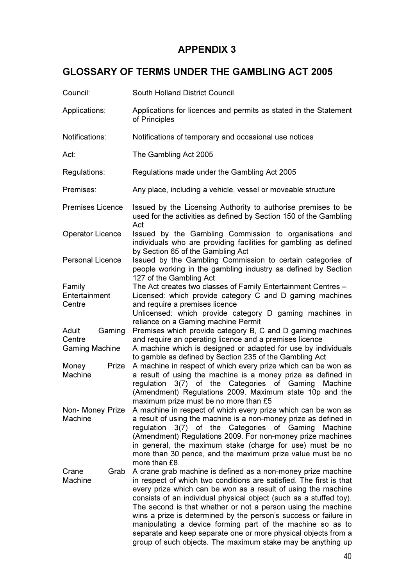## APPENDIX 3

## GLOSSARY OF TERMS UNDER THE GAMBLING ACT 2005

| Council:                                           | <b>South Holland District Council</b>                                                                                                                                                                                                                                                                                                                                                                                                                                                                                                                                                                         |
|----------------------------------------------------|---------------------------------------------------------------------------------------------------------------------------------------------------------------------------------------------------------------------------------------------------------------------------------------------------------------------------------------------------------------------------------------------------------------------------------------------------------------------------------------------------------------------------------------------------------------------------------------------------------------|
| Applications:                                      | Applications for licences and permits as stated in the Statement<br>of Principles                                                                                                                                                                                                                                                                                                                                                                                                                                                                                                                             |
| Notifications:                                     | Notifications of temporary and occasional use notices                                                                                                                                                                                                                                                                                                                                                                                                                                                                                                                                                         |
| Act:                                               | The Gambling Act 2005                                                                                                                                                                                                                                                                                                                                                                                                                                                                                                                                                                                         |
| Regulations:                                       | Regulations made under the Gambling Act 2005                                                                                                                                                                                                                                                                                                                                                                                                                                                                                                                                                                  |
| Premises:                                          | Any place, including a vehicle, vessel or moveable structure                                                                                                                                                                                                                                                                                                                                                                                                                                                                                                                                                  |
| <b>Premises Licence</b>                            | Issued by the Licensing Authority to authorise premises to be<br>used for the activities as defined by Section 150 of the Gambling<br>Act                                                                                                                                                                                                                                                                                                                                                                                                                                                                     |
| <b>Operator Licence</b>                            | Issued by the Gambling Commission to organisations and<br>individuals who are providing facilities for gambling as defined<br>by Section 65 of the Gambling Act                                                                                                                                                                                                                                                                                                                                                                                                                                               |
| <b>Personal Licence</b>                            | Issued by the Gambling Commission to certain categories of<br>people working in the gambling industry as defined by Section<br>127 of the Gambling Act                                                                                                                                                                                                                                                                                                                                                                                                                                                        |
| Family<br>Entertainment<br>Centre                  | The Act creates two classes of Family Entertainment Centres -<br>Licensed: which provide category C and D gaming machines<br>and require a premises licence<br>Unlicensed: which provide category D gaming machines in                                                                                                                                                                                                                                                                                                                                                                                        |
| Adult<br>Gaming<br>Centre<br><b>Gaming Machine</b> | reliance on a Gaming machine Permit<br>Premises which provide category B, C and D gaming machines<br>and require an operating licence and a premises licence<br>A machine which is designed or adapted for use by individuals<br>to gamble as defined by Section 235 of the Gambling Act                                                                                                                                                                                                                                                                                                                      |
| Money<br>Prize<br>Machine                          | A machine in respect of which every prize which can be won as<br>a result of using the machine is a money prize as defined in<br>3(7) of the Categories of Gaming<br>regulation<br>Machine<br>(Amendment) Regulations 2009. Maximum state 10p and the<br>maximum prize must be no more than £5                                                                                                                                                                                                                                                                                                                |
| Non- Money Prize<br>Machine                        | A machine in respect of which every prize which can be won as<br>a result of using the machine is a non-money prize as defined in<br>3(7) of the Categories of Gaming<br>regulation<br>Machine<br>(Amendment) Regulations 2009. For non-money prize machines<br>in general, the maximum stake (charge for use) must be no<br>more than 30 pence, and the maximum prize value must be no<br>more than £8.                                                                                                                                                                                                      |
| Crane<br>Grab<br>Machine                           | A crane grab machine is defined as a non-money prize machine<br>in respect of which two conditions are satisfied. The first is that<br>every prize which can be won as a result of using the machine<br>consists of an individual physical object (such as a stuffed toy).<br>The second is that whether or not a person using the machine<br>wins a prize is determined by the person's success or failure in<br>manipulating a device forming part of the machine so as to<br>separate and keep separate one or more physical objects from a<br>group of such objects. The maximum stake may be anything up |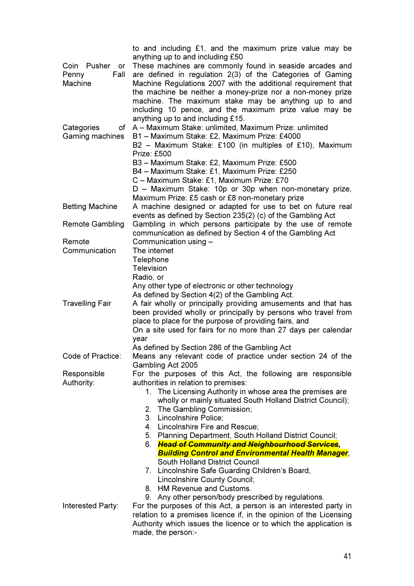| Coin Pusher or<br>Penny<br>Fall<br>Machine<br>Categories<br>Gaming machines | to and including £1, and the maximum prize value may be<br>anything up to and including £50<br>These machines are commonly found in seaside arcades and<br>are defined in regulation 2(3) of the Categories of Gaming<br>Machine Regulations 2007 with the additional requirement that<br>the machine be neither a money-prize nor a non-money prize<br>machine. The maximum stake may be anything up to and<br>including 10 pence, and the maximum prize value may be<br>anything up to and including £15.<br>of A - Maximum Stake: unlimited, Maximum Prize: unlimited<br>B1 - Maximum Stake: £2, Maximum Prize: £4000 |
|-----------------------------------------------------------------------------|--------------------------------------------------------------------------------------------------------------------------------------------------------------------------------------------------------------------------------------------------------------------------------------------------------------------------------------------------------------------------------------------------------------------------------------------------------------------------------------------------------------------------------------------------------------------------------------------------------------------------|
|                                                                             | $B2 -$ Maximum Stake: £100 (in multiples of £10), Maximum<br><b>Prize: £500</b><br>B3 - Maximum Stake: £2, Maximum Prize: £500<br>B4 - Maximum Stake: £1, Maximum Prize: £250<br>C - Maximum Stake: £1, Maximum Prize: £70<br>D - Maximum Stake: 10p or 30p when non-monetary prize,<br>Maximum Prize: £5 cash or £8 non-monetary prize                                                                                                                                                                                                                                                                                  |
| <b>Betting Machine</b>                                                      | A machine designed or adapted for use to bet on future real<br>events as defined by Section 235(2) (c) of the Gambling Act                                                                                                                                                                                                                                                                                                                                                                                                                                                                                               |
| <b>Remote Gambling</b>                                                      | Gambling in which persons participate by the use of remote<br>communication as defined by Section 4 of the Gambling Act                                                                                                                                                                                                                                                                                                                                                                                                                                                                                                  |
| Remote<br>Communication                                                     | Communication using -<br>The internet<br>Telephone<br>Television<br>Radio, or<br>Any other type of electronic or other technology                                                                                                                                                                                                                                                                                                                                                                                                                                                                                        |
| <b>Travelling Fair</b>                                                      | As defined by Section 4(2) of the Gambling Act.<br>A fair wholly or principally providing amusements and that has<br>been provided wholly or principally by persons who travel from<br>place to place for the purpose of providing fairs, and<br>On a site used for fairs for no more than 27 days per calendar<br>year<br>As defined by Section 286 of the Gambling Act                                                                                                                                                                                                                                                 |
| Code of Practice:                                                           | Means any relevant code of practice under section 24 of the<br>Gambling Act 2005                                                                                                                                                                                                                                                                                                                                                                                                                                                                                                                                         |
| Responsible<br>Authority:                                                   | For the purposes of this Act, the following are responsible<br>authorities in relation to premises:<br>1. The Licensing Authority in whose area the premises are<br>wholly or mainly situated South Holland District Council);<br>The Gambling Commission;<br>2.<br>3. Lincolnshire Police;<br>4. Lincolnshire Fire and Rescue;<br>5. Planning Department, South Holland District Council;                                                                                                                                                                                                                               |
|                                                                             | 6. Head of Community and Neighbourhood Services,                                                                                                                                                                                                                                                                                                                                                                                                                                                                                                                                                                         |
|                                                                             | <b>Building Control and Environmental Health Manager,</b><br><b>South Holland District Council</b><br>7. Lincolnshire Safe Guarding Children's Board,<br>Lincolnshire County Council;<br>8. HM Revenue and Customs.                                                                                                                                                                                                                                                                                                                                                                                                      |
| Interested Party:                                                           | Any other person/body prescribed by regulations.<br>9.<br>For the purposes of this Act, a person is an interested party in<br>relation to a premises licence if, in the opinion of the Licensing<br>Authority which issues the licence or to which the application is<br>made, the person:-                                                                                                                                                                                                                                                                                                                              |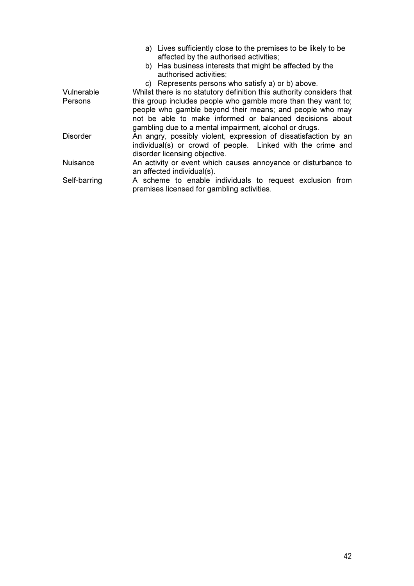|                 | a) Lives sufficiently close to the premises to be likely to be<br>affected by the authorised activities;                                                                                                                                        |
|-----------------|-------------------------------------------------------------------------------------------------------------------------------------------------------------------------------------------------------------------------------------------------|
|                 | b) Has business interests that might be affected by the<br>authorised activities;                                                                                                                                                               |
|                 | c) Represents persons who satisfy a) or b) above.                                                                                                                                                                                               |
| Vulnerable      | Whilst there is no statutory definition this authority considers that                                                                                                                                                                           |
| Persons         | this group includes people who gamble more than they want to;<br>people who gamble beyond their means; and people who may<br>not be able to make informed or balanced decisions about<br>gambling due to a mental impairment, alcohol or drugs. |
| <b>Disorder</b> | An angry, possibly violent, expression of dissatisfaction by an<br>individual(s) or crowd of people. Linked with the crime and<br>disorder licensing objective.                                                                                 |
| <b>Nuisance</b> | An activity or event which causes annoyance or disturbance to<br>an affected individual(s).                                                                                                                                                     |
| Self-barring    | A scheme to enable individuals to request exclusion from<br>premises licensed for gambling activities.                                                                                                                                          |